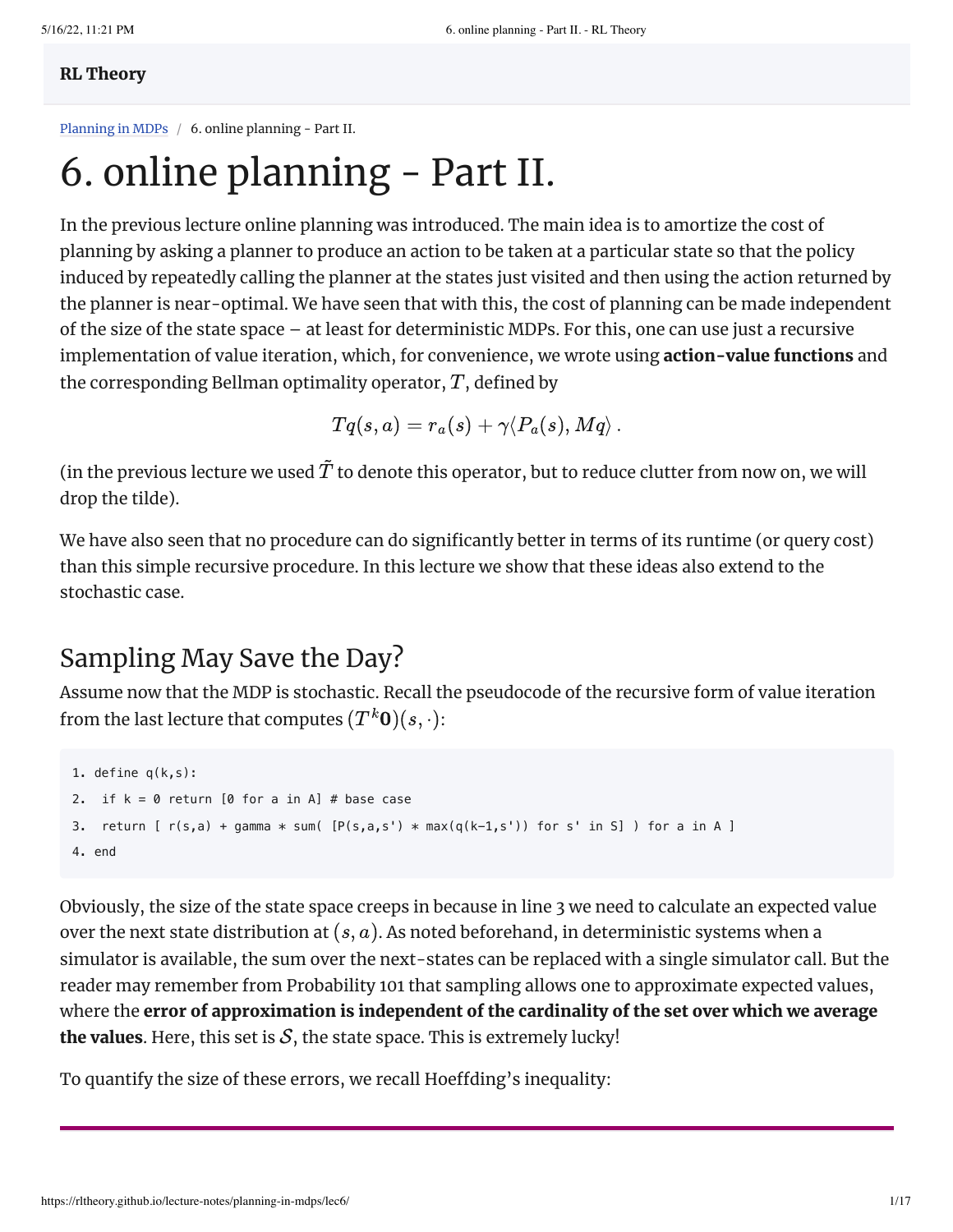#### RL [Theory](https://rltheory.github.io/)

[Planning](https://rltheory.github.io/w2021-lecture-notes/planning-in-mdps) in MDPs / 6. online planning - Part II.

# 6. online planning - Part II.

In the previous lecture online planning was introduced. The main idea is to amortize the cost of planning by asking a planner to produce an action to be taken at a particular state so that the policy induced by repeatedly calling the planner at the states just visited and then using the action returned by the planner is near-optimal. We have seen that with this, the cost of planning can be made independent of the size of the state space – at least for deterministic MDPs. For this, one can use just a recursive implementation of value iteration, which, for convenience, we wrote using **action-value functions** and the corresponding Bellman optimality operator,  $T$ , defined by

$$
Tq(s,a)=r_a(s)+\gamma\langle P_a(s),Mq\rangle\,.
$$

(in the previous lecture we used  $\tilde{T}$  to denote this operator, but to reduce clutter from now on, we will drop the tilde).

We have also seen that no procedure can do significantly better in terms of its runtime (or query cost) than this simple recursive procedure. In this lecture we show that these ideas also extend to the stochastic case.

# Sampling May Save the Day?

Assume now that the MDP is stochastic. Recall the pseudocode of the recursive form of value iteration from the last lecture that computes  $(T^k{\bf 0})(s, \cdot)$ :

```
1. define q(k,s):
2. if k = 0 return [0 for a in A] # base case
3. return [r(s,a) + gamma * sum([P(s,a,s') * max(q(k-1,s')) for s' in S] ) for a in A ]
4. end
```
Obviously, the size of the state space creeps in because in line 3 we need to calculate an expected value over the next state distribution at  $(s, a)$ . As noted beforehand, in deterministic systems when a simulator is available, the sum over the next-states can be replaced with a single simulator call. But the reader may remember from Probability 101 that sampling allows one to approximate expected values, where the error of approximation is independent of the cardinality of the set over which we average the values. Here, this set is  $S$ , the state space. This is extremely lucky!

To quantify the size of these errors, we recall Hoeffding's inequality: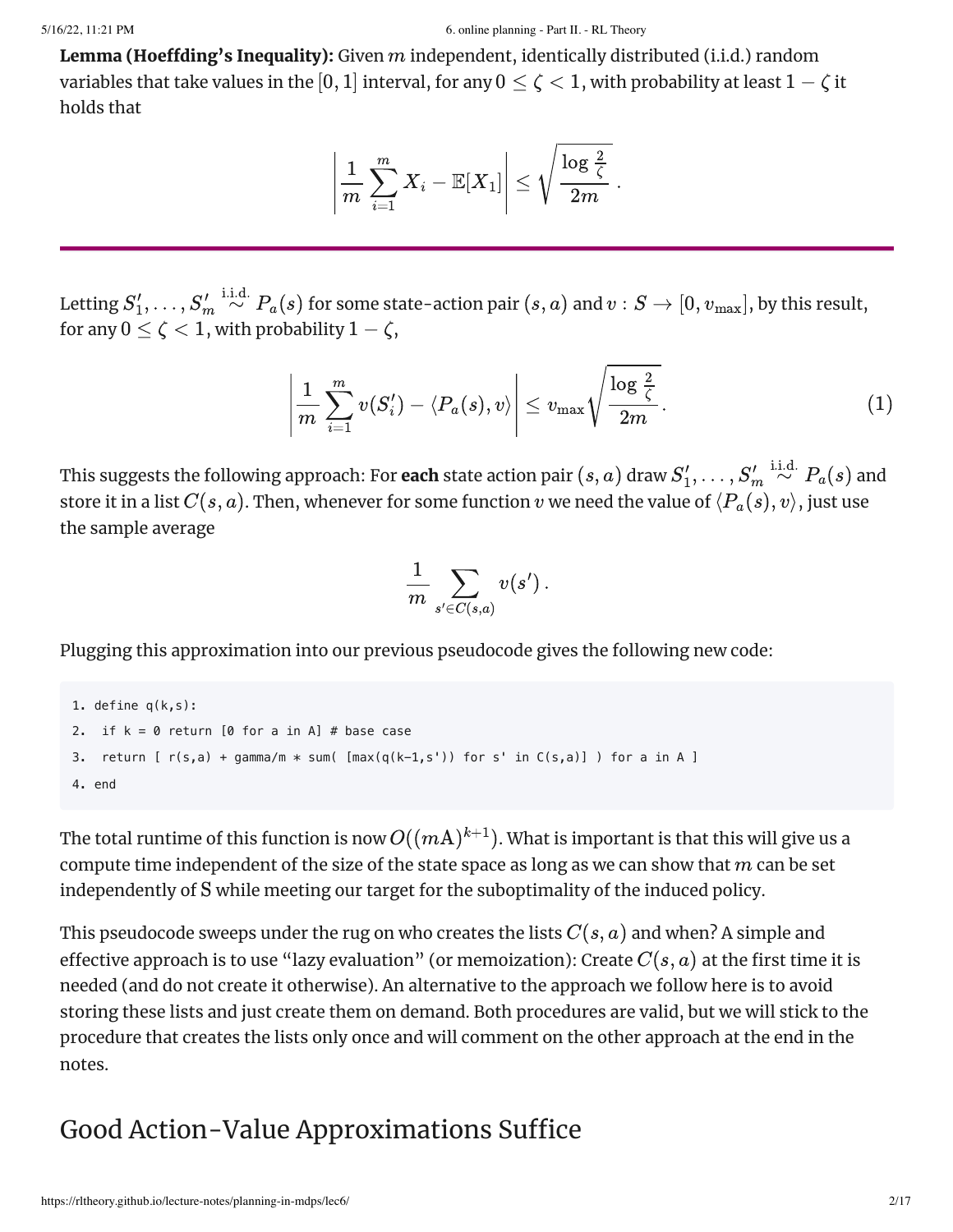**Lemma (Hoeffding's Inequality):** Given  $m$  independent, identically distributed (i.i.d.) random variables that take values in the  $[0,1]$  interval, for any  $0\leq \zeta < 1$ , with probability at least  $1-\zeta$  it holds that

$$
\left|\frac{1}{m}\sum_{i=1}^m X_i - \mathbb{E}[X_1]\right| \leq \sqrt{\frac{\log \frac{2}{\zeta}}{2m}}.
$$

Letting  $S_1',\ldots, S_m' \stackrel{\text{i.i.d.}}{\sim} P_a(s)$  for some state-action pair  $(s,a)$  and  $v:S\to [0,v_{\max}],$  by this result, for any  $0 \leq \zeta < 1,$  with probability  $1-\zeta,$ 

$$
\left|\frac{1}{m}\sum_{i=1}^m v(S_i') - \langle P_a(s), v\rangle\right| \leq v_{\text{max}}\sqrt{\frac{\log\frac{2}{\zeta}}{2m}}.\tag{1}
$$

This suggests the following approach: For **each** state action pair  $(s,a)$  draw  $S'_1,\ldots, S'_m \stackrel{\rm i.i.d.}{\sim} P_a(s)$  and store it in a list  $C(s, a).$  Then, whenever for some function  $v$  we need the value of  $\langle P_a(s), v\rangle,$  just use the sample average

<span id="page-1-0"></span>
$$
\frac{1}{m}\sum_{s'\in C(s,a)}v(s')\,.
$$

Plugging this approximation into our previous pseudocode gives the following new code:

```
1. define q(k,s):
2. if k = 0 return [0 for a in A] # base case
3. return [ r(s,a) + gamma/m * sum( [max(q(k-1,s')) for s' in C(s,a)] ) for a in A ]
4. end
                                                                                      \left|\frac{1}{m}\sum_{i=1}X_i - \mathbb{E}[X_1]\right| \leq \sqrt{\frac{\log \zeta}{2m}}.<br>
some state-action pair (s, a) and v :<br>
y1 − \zeta,<br>
\sum_{i=1}^{m}v(S_i') - \langle P_a(s), v \rangle \leq v_{\text{max}}\sqrt{\frac{\log \zeta}{2}}<br>
ach: For each state action pair (s, a)<br>
enever for some functio
```
The total runtime of this function is now  $O((m\mathrm{A})^{k+1}).$  What is important is that this will give us a compute time independent of the size of the state space as long as we can show that  $m$  can be set independently of S while meeting our target for the suboptimality of the induced policy.

This pseudocode sweeps under the rug on who creates the lists  $C(s, a)$  and when? A simple and effective approach is to use "lazy evaluation" (or memoization): Create  $C(s,a)$  at the first time it is needed (and do not create it otherwise). An alternative to the approach we follow here is to avoid storing these lists and just create them on demand. Both procedures are valid, but we will stick to the procedure that creates the lists only once and will comment on the other approach at the end in the notes.  $\left| \frac{1}{m} \sum_{i=1}^{n} v(S'_i) - \langle P_a(s), v \rangle \right| \leq v_{\text{max}} \sqrt{\frac{n \omega_{\zeta}}{2m}}.$  (1)<br>
approach: For each state action pair  $(s, a)$  draw  $S'_1, \ldots, S'_m \stackrel{\text{i.i.d.}}{\sim} P_a(s)$  and<br>
any noach: For each state action pair  $(s, a)$  draw  $S'_1, \ldots, S'_m$ 

# Good Action-Value Approximations Suffice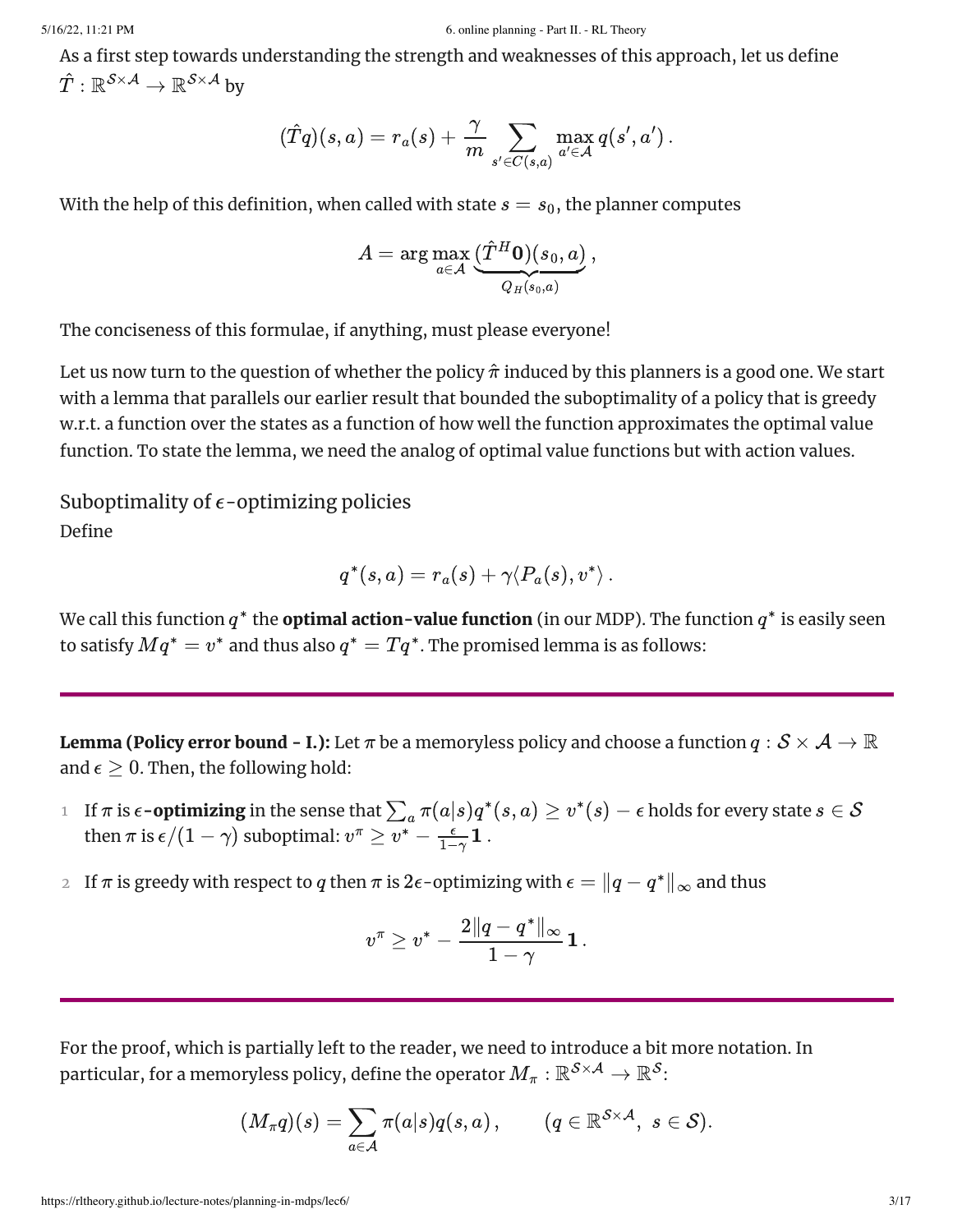As a first step towards understanding the strength and weaknesses of this approach, let us define  $\hat{T}: \mathbb{R}^{\mathcal{S} \times \mathcal{A}} \rightarrow \mathbb{R}^{\mathcal{S} \times \mathcal{A}}$  by

$$
(\hat{T}q)(s,a) = r_a(s) + \frac{\gamma}{m}\sum_{s' \in C(s,a)} \max_{a' \in \mathcal{A}} q(s',a')\,.
$$

With the help of this definition, when called with state  $s=s_0,$  the planner computes

$$
A = \arg\max_{a \in \mathcal{A}} \underbrace{(\hat{T}^H \mathbf{0})(s_0, a)}_{Q_H(s_0, a)},
$$

The conciseness of this formulae, if anything, must please everyone!

Let us now turn to the question of whether the policy  $\hat{\pi}$  induced by this planners is a good one. We start with a lemma that parallels our earlier result that bounded the suboptimality of a policy that is greedy w.r.t. a function over the states as a function of how well the function approximates the optimal value function. To state the lemma, we need the analog of optimal value functions but with action values. exact that is the strengthenes<br>for the strengthenes includes the strength and section-to-section this suppress b, between<br>the strengthenes of the strengthenes of the strengthenes of the suppress b, between<br>the strength of

Define Suboptimality of  $\epsilon$ -optimizing policies

$$
q^*(s,a) = r_a(s) + \gamma \langle P_a(s), v^*\rangle\,.
$$

We call this function  $q^*$  the **optimal action-value function** (in our MDP). The function  $q^*$  is easily seen to satisfy  $Mq^*=v^*$  and thus also  $q^*=Tq^*.$  The promised lemma is as follows:

<span id="page-2-0"></span>**Lemma (Policy error bound - I.):** Let  $\pi$  be a memoryless policy and choose a function  $q: \mathcal{S} \times \mathcal{A} \to \mathbb{R}$ and  $\epsilon \geq 0$ . Then, the following hold:

- $1$  If  $\pi$  is  $\epsilon$ -**optimizing** in the sense that  $\sum_a \pi(a|s)q^*(s,a) \ge v^*(s) \epsilon$  holds for every state  $s \in \mathcal{S}$ then  $\pi$  is  $\epsilon/(1-\gamma)$  suboptimal:  $v^\pi \ge \overline{v^*} - \frac{\epsilon}{1-\gamma} \mathbf{1}$  .
- $_2$  If  $\pi$  is greedy with respect to  $q$  then  $\pi$  is  $2\epsilon$ -optimizing with  $\epsilon = \|q-q^*\|_\infty$  and thus

$$
v^\pi \geq v^* - \frac{2\|q-q^*\|_\infty}{1-\gamma}\mathbf{1}\,.
$$

For the proof, which is partially left to the reader, we need to introduce a bit more notation. In particular, for a memoryless policy, define the operator  $M_\pi : \mathbb{R}^{\mathcal{S} \times \mathcal{A}} \rightarrow \mathbb{R}^\mathcal{S}$ :

$$
(M_\pi q)(s) = \sum_{a \in \mathcal{A}} \pi(a|s) q(s,a)\,, \qquad (q \in \mathbb{R}^{\mathcal{S} \times \mathcal{A}}, \,\, s \in \mathcal{S}).
$$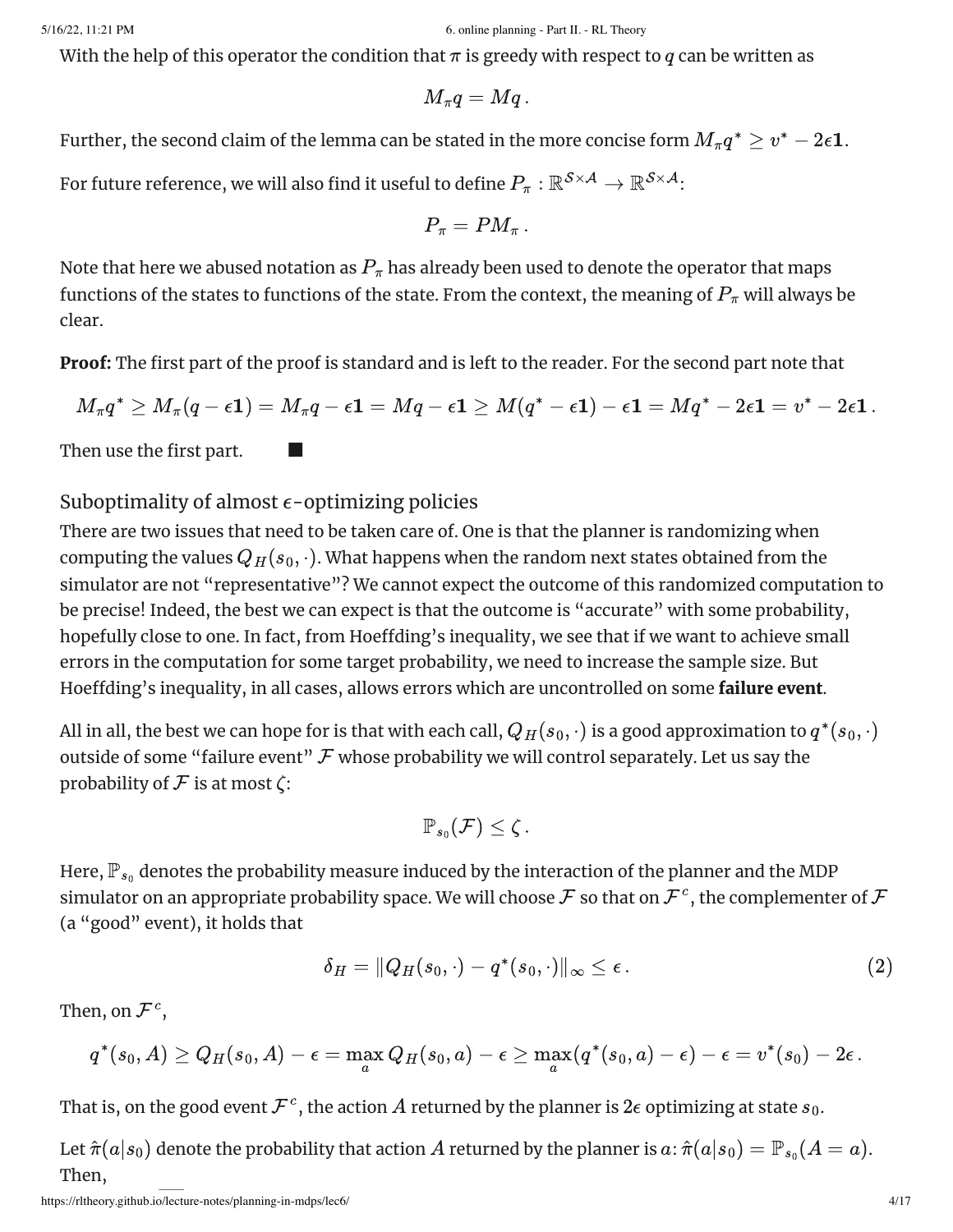With the help of this operator the condition that  $\pi$  is greedy with respect to  $q$  can be written as

$$
M_{\pi}q=Mq\,.
$$

Further, the second claim of the lemma can be stated in the more concise form  $M_\pi q^* \geq v^* - 2\epsilon \mathbf{1}$ .<br>For future reference, we will also find it useful to define  $P_\pi : \mathbb{R}^{\mathcal{S} \times \mathcal{A}} \to \mathbb{R}^{\mathcal{S} \times \mathcal{A}}$ : For future reference, we will also find it useful to define  $P_\pi: \mathbb{R}^{\mathcal{S} \times \mathcal{A}} \to \mathbb{R}^{\mathcal{S} \times \mathcal{A}}$ :

$$
P_\pi=PM_\pi\,.
$$

Note that here we abused notation as  $P_\pi$  has already been used to denote the operator that maps functions of the states to functions of the state. From the context, the meaning of  $P_\pi$  will always be clear.

Proof: The first part of the proof is standard and is left to the reader. For the second part note that

$$
M_\pi q^* \geq M_\pi (q-\epsilon \mathbf{1}) = M_\pi q - \epsilon \mathbf{1} = Mq - \epsilon \mathbf{1} \geq M(q^*-\epsilon \mathbf{1}) - \epsilon \mathbf{1} = Mq^* - 2\epsilon \mathbf{1} = v^* - 2\epsilon \mathbf{1} \, .
$$

Then use the first part.

#### Suboptimality of almost  $\epsilon$ -optimizing policies

■

There are two issues that need to be taken care of. One is that the planner is randomizing when computing the values  $Q_H(s_0,\cdot)$ . What happens when the random next states obtained from the simulator are not "representative"? We cannot expect the outcome of this randomized computation to be precise! Indeed, the best we can expect is that the outcome is "accurate" with some probability, hopefully close to one. In fact, from Hoeffding's inequality, we see that if we want to achieve small errors in the computation for some target probability, we need to increase the sample size. But Hoeffding's inequality, in all cases, allows errors which are uncontrolled on some failure event.

All in all, the best we can hope for is that with each call,  $Q_H(s_0,\cdot)$  is a good approximation to  $q^*(s_0,\cdot)$ outside of some "failure event"  ${\mathcal F}$  whose probability we will control separately. Let us say the probability of  ${\mathcal F}$  is at most  $\zeta$ :

<span id="page-3-0"></span>
$$
\mathbb{P}_{s_0}(\mathcal{F}) \leq \zeta.
$$

Here,  $\mathbb{P}_{s_0}$  denotes the probability measure induced by the interaction of the planner and the MDP simulator on an appropriate probability space. We will choose  ${\cal F}$  so that on  ${\cal F}^c$ , the complementer of  ${\cal F}$ (a "good" event), it holds that

$$
\delta_H = \|Q_H(s_0,\cdot)-q^*(s_0,\cdot)\|_\infty \leq \epsilon\,.
$$

Then, on  $\mathcal{F}^c$ ,

$$
q^*(s_0,A)\geq Q_H(s_0,A)-\epsilon=\max_a Q_H(s_0,a)-\epsilon\geq \max_a (q^*(s_0,a)-\epsilon)-\epsilon=v^*(s_0)-2\epsilon\,.
$$

That is, on the good event  $\mathcal{F}^c$ , the action  $A$  returned by the planner is  $2\epsilon$  optimizing at state  $s_0.$ 

Let  $\hat{\pi}(a|s_0)$  denote the probability that action  $A$  returned by the planner is  $a$ :  $\hat{\pi}(a|s_0) = \mathbb{P}_{s_0} (A = a).$ Then,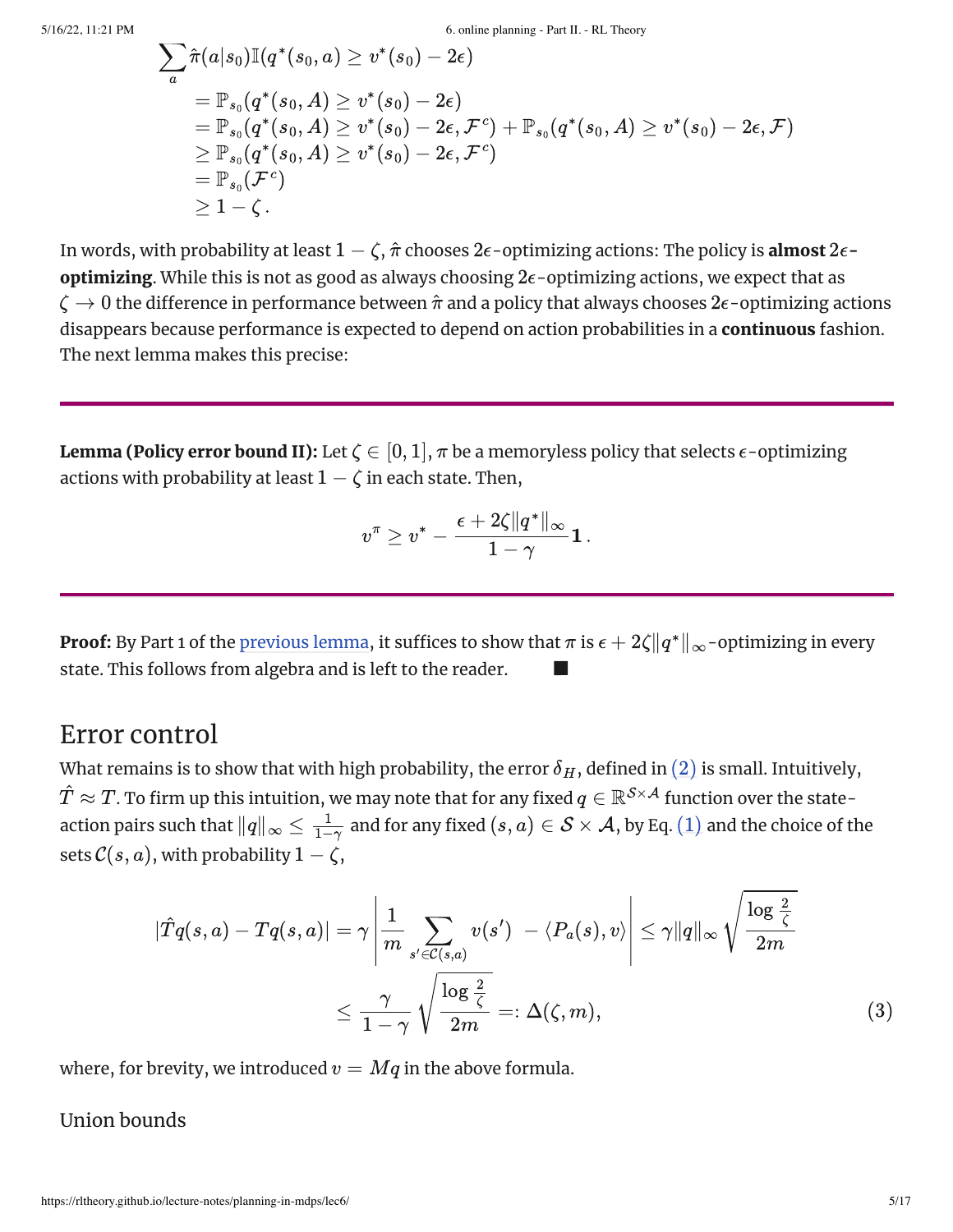$$
\begin{aligned} & \sum_a \hat{\pi}(a|s_0) \mathbb{I}(q^*(s_0,a) \geq v^*(s_0) - 2\epsilon) \\ & = \mathbb{P}_{s_0}(q^*(s_0,A) \geq v^*(s_0) - 2\epsilon) \\ & = \mathbb{P}_{s_0}(q^*(s_0,A) \geq v^*(s_0) - 2\epsilon, \mathcal{F}^c) + \mathbb{P}_{s_0}(q^*(s_0,A) \geq v^*(s_0) - 2\epsilon, \mathcal{F}) \\ & \geq \mathbb{P}_{s_0}(q^*(s_0,A) \geq v^*(s_0) - 2\epsilon, \mathcal{F}^c) \\ & = \mathbb{P}_{s_0}(\mathcal{F}^c) \\ & \geq 1 - \zeta\,. \end{aligned}
$$

In words, with probability at least  $1-\zeta,$   $\hat{\pi}$  chooses  $2\epsilon$ -optimizing actions: The policy is  ${\rm almost}\ 2\epsilon$ - $\bf{optimizing}$ . While this is not as good as always choosing  $2\epsilon$ -optimizing actions, we expect that as  $\zeta \to 0$  the difference in performance between  $\hat{\pi}$  and a policy that always chooses  $2\epsilon$ -optimizing actions disappears because performance is expected to depend on action probabilities in a **continuous** fashion. The next lemma makes this precise:

**Lemma (Policy error bound II):** Let  $\zeta \in [0, 1]$ ,  $\pi$  be a memoryless policy that selects  $\epsilon$ -optimizing actions with probability at least  $1-\zeta$  in each state. Then,

<span id="page-4-0"></span>
$$
v^\pi \geq v^* - \frac{\epsilon + 2\zeta \|q^*\|_\infty}{1-\gamma} \mathbf{1} \, .
$$

**Proof:** By Part 1 of the [previous](https://rltheory.github.io/lecture-notes/planning-in-mdps/lec6#lem:averror) lemma, it suffices to show that  $\pi$  is  $\epsilon + 2\zeta\|q^*\|_\infty$ -optimizing in every state. This follows from algebra and is left to the reader. ■

### Error control

What remains is to show that with high probability, the error  $\delta_H$ , defined in  $(2)$  is small. Intuitively,  $\hat{T} \approx T$ . To firm up this intuition, we may note that for any fixed  $q \in \mathbb{R}^{\mathcal{S} \times \mathcal{A}}$  function over the stateaction pairs such that  $\|q\|_\infty\leq\frac1{1-\gamma}$  and for any fixed  $(s,a)\in\mathcal{S}\times\mathcal{A}$ , by Eq.  $(1)$  and the choice of the sets  $\mathcal{C}(s, a),$  with probability  $1-\overline{\zeta},$ 

$$
|\hat{T}q(s,a) - Tq(s,a)| = \gamma \left| \frac{1}{m} \sum_{s' \in C(s,a)} v(s') - \langle P_a(s), v \rangle \right| \leq \gamma ||q||_{\infty} \sqrt{\frac{\log \frac{2}{\zeta}}{2m}}
$$
  

$$
\leq \frac{\gamma}{1-\gamma} \sqrt{\frac{\log \frac{2}{\zeta}}{2m}} =: \Delta(\zeta, m),
$$
  
(3)  
previty, we introduced  $v = Mq$  in the above formula.  
mds  
  
*is/lecture-notes/planning-in-maps/lec6/*

where, for brevity, we introduced  $v=Mq$  in the above formula.

Union bounds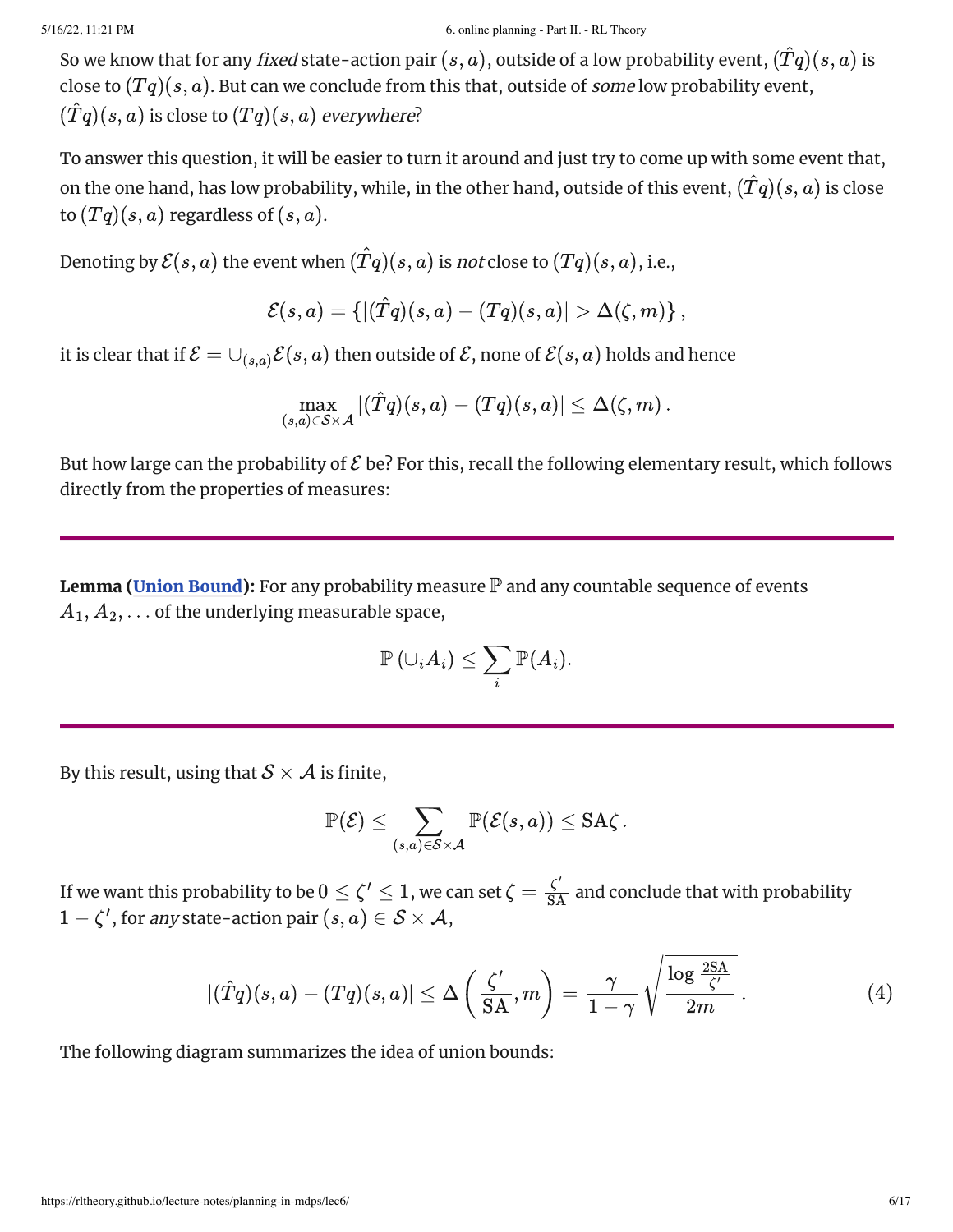So we know that for any *fixed* state-action pair  $(s, a)$ , outside of a low probability event,  $(\hat{T}q)(s, a)$  is close to  $(Tq)(s,a)$ . But can we conclude from this that, outside of *some* low probability event,  $(\hat{T}q)(s, a)$  is close to  $(Tq)(s, a)$  everywhere?

To answer this question, it will be easier to turn it around and just try to come up with some event that, on the one hand, has low probability, while, in the other hand, outside of this event,  $(\hat{T}q)(s, a)$  is close to  $(Tq)(s, a)$  regardless of  $(s, a)$ .

Denoting by  $\mathcal{E}(s, a)$  the event when  $(\hat{T}q)(s, a)$  is *not* close to  $(Tq)(s, a),$  i.e.,

$$
\mathcal{E}(s,a) = \left\{ |(\hat{T}q)(s,a) - (Tq)(s,a)| > \Delta(\zeta,m) \right\},
$$

it is clear that if  $\mathcal{E} = \cup_{(s,a)} \mathcal{E}(s,a)$  then outside of  $\mathcal{E},$  none of  $\mathcal{E}(s,a)$  holds and hence

$$
\max_{(s,a)\in\mathcal{S}\times\mathcal{A}}|(\hat{T}q)(s,a)-(Tq)(s,a)|\leq\Delta(\zeta,m)\,.
$$

But how large can the probability of  ${\cal E}$  be? For this, recall the following elementary result, which follows directly from the properties of measures:

**Lemma (Union [Bound\)](https://en.wikipedia.org/wiki/Boole%27s_inequality):** For any probability measure  $\mathbb P$  and any countable sequence of events  $A_1, A_2, \ldots$  of the underlying measurable space,

$$
\mathbb{P}\left( \cup_i A_i \right) \leq \sum_i \mathbb{P}(A_i).
$$

By this result, using that  $\mathcal{S} \times \mathcal{A}$  is finite,

$$
\mathbb{P}(\mathcal{E}) \leq \sum_{(s,a) \in \mathcal{S} \times \mathcal{A}} \mathbb{P}(\mathcal{E}(s,a)) \leq \text{SA}\zeta\,.
$$

If we want this probability to be  $0\leq\zeta'\leq 1,$  we can set  $\zeta=\frac{\zeta'}{\rm SA}$  and conclude that with probability

$$
1 - \zeta', \text{ for any state-action pair } (s, a) \in \mathcal{S} \times \mathcal{A},
$$

$$
|(\hat{T}q)(s, a) - (Tq)(s, a)| \leq \Delta \left(\frac{\zeta'}{\text{SA}}, m\right) = \frac{\gamma}{1 - \gamma} \sqrt{\frac{\log \frac{2\text{SA}}{\zeta'}}{2m}} \,. \tag{4}
$$

The following diagram summarizes the idea of union bounds: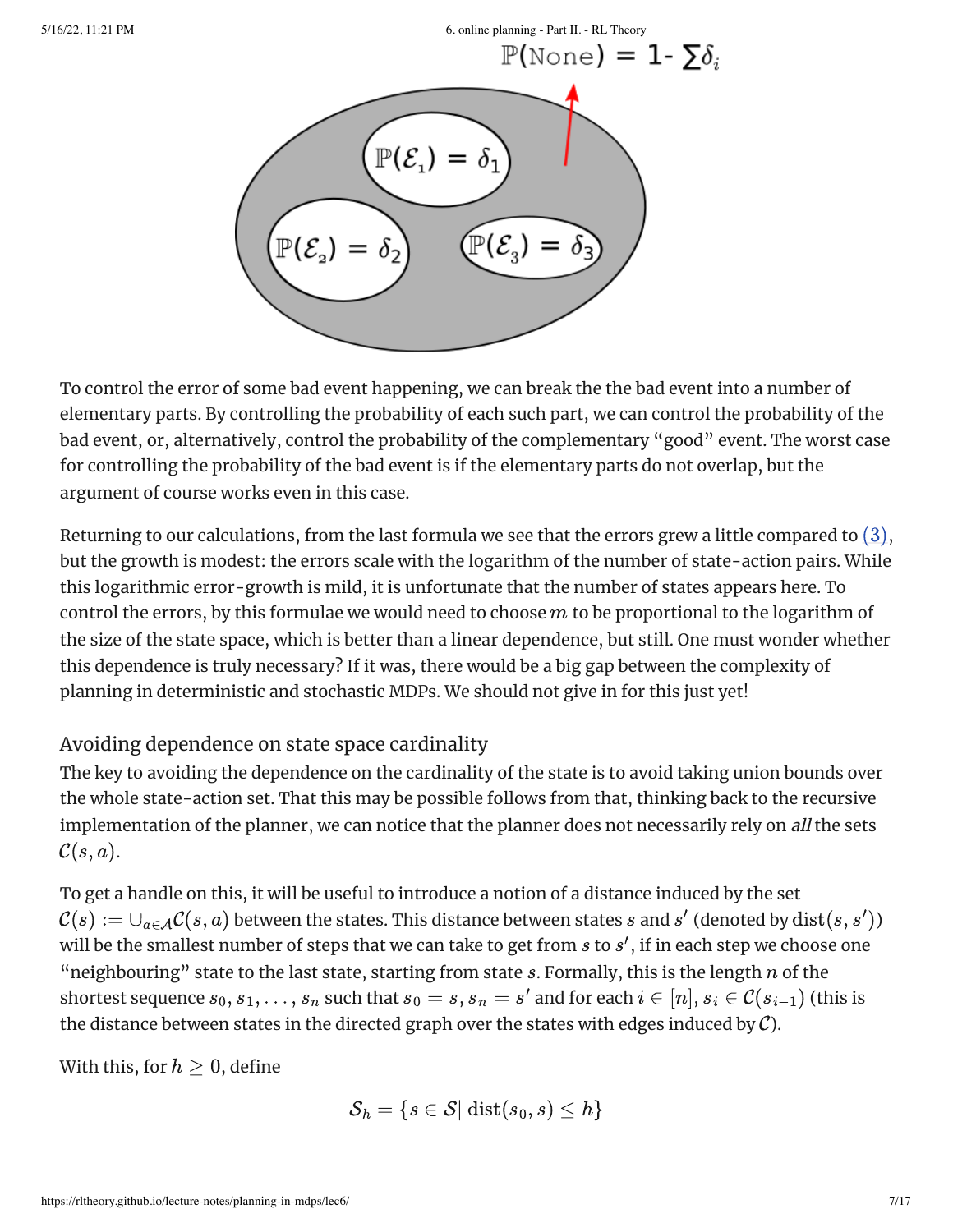

To control the error of some bad event happening, we can break the the bad event into a number of elementary parts. By controlling the probability of each such part, we can control the probability of the bad event, or, alternatively, control the probability of the complementary "good" event. The worst case for controlling the probability of the bad event is if the elementary parts do not overlap, but the argument of course works even in this case.

Returning to our calculations, from the last formula we see that the errors grew a little compared to  $(3)$ , but the growth is modest: the errors scale with the logarithm of the number of state-action pairs. While this logarithmic error-growth is mild, it is unfortunate that the number of states appears here. To control the errors, by this formulae we would need to choose  $m$  to be proportional to the logarithm of the size of the state space, which is better than a linear dependence, but still. One must wonder whether this dependence is truly necessary? If it was, there would be a big gap between the complexity of planning in deterministic and stochastic MDPs. We should not give in for this just yet!

#### Avoiding dependence on state space cardinality

The key to avoiding the dependence on the cardinality of the state is to avoid taking union bounds over the whole state-action set. That this may be possible follows from that, thinking back to the recursive implementation of the planner, we can notice that the planner does not necessarily rely on all the sets  $\mathcal{C}(s,a)$ .

To get a handle on this, it will be useful to introduce a notion of a distance induced by the set  $\mathcal C(s):=\cup_{a\in\mathcal A}\mathcal C(s,a)$  between the states. This distance between states  $s$  and  $s'$  (denoted by  $\mathrm{dist}(s,s')$ ) will be the smallest number of steps that we can take to get from  $s$  to  $s^\prime$ , if in each step we choose one "neighbouring" state to the last state, starting from state  $s.$  Formally, this is the length  $n$  of the shortest sequence  $s_0, s_1, \ldots, s_n$  such that  $s_0 = s$ ,  $s_n = s'$  and for each  $i \in [n]$ ,  $s_i \in \mathcal{C}(s_{i-1})$  (this is the distance between states in the directed graph over the states with edges induced by  $\mathcal{C}$ ).

With this, for  $h\geq 0$ , define

$$
\mathcal{S}_h = \{s \in \mathcal{S} | \: \text{dist}(s_0,s) \leq h\}
$$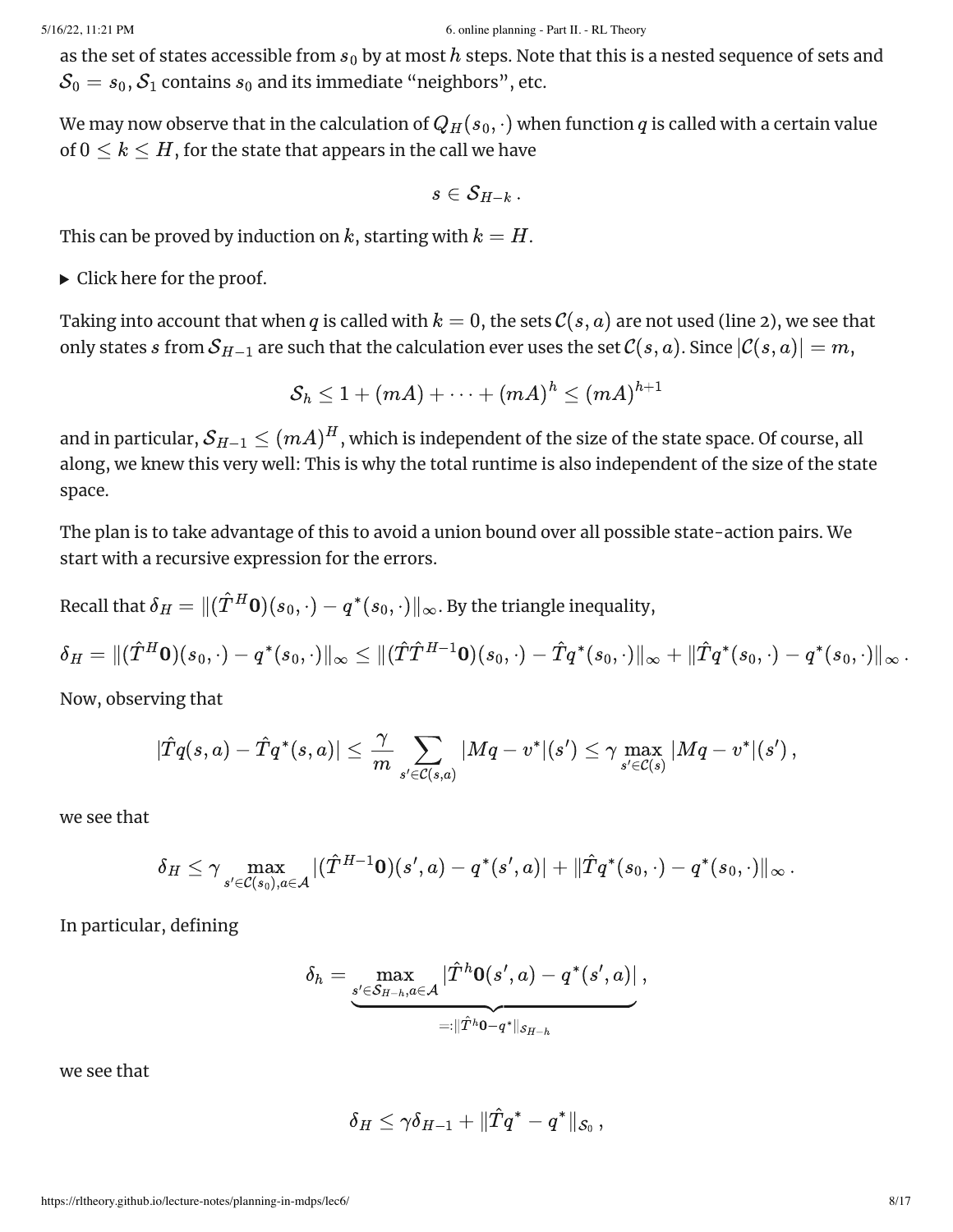as the set of states accessible from  $s_0$  by at most  $h$  steps. Note that this is a nested sequence of sets and  $\mathcal{S}_0 = s_0, \mathcal{S}_1$  contains  $s_0$  and its immediate "neighbors", etc.

We may now observe that in the calculation of  $Q_H(s_0, \cdot)$  when function  $q$  is called with a certain value of  $0\leq k\leq H,$  for the state that appears in the call we have

$$
s\in\mathcal{S}_{H-k}\,.
$$

This can be proved by induction on  $k$ , starting with  $k = H.$ 

 $\triangleright$  Click here for the proof.

Taking into account that when  $q$  is called with  $k=0,$  the sets  $\mathcal{C}(s, a)$  are not used (line 2), we see that only states  $s$  from  $\mathcal{S}_{H-1}$  are such that the calculation ever uses the set  $\mathcal{C}(s,a).$  Since  $|\mathcal{C}(s,a)|=m,$ 

$$
\mathcal{S}_h \leq 1 + (mA) + \cdots + (mA)^h \leq (mA)^{h+1}
$$

and in particular,  $\mathcal{S}_{H-1} \leq (mA)^H$ , which is independent of the size of the state space. Of course, all along, we knew this very well: This is why the total runtime is also independent of the size of the state space. encouring and states accordists from  $\rho_3$  by at mean following. Note that there is a mean of equal to the set of the set of the set of the set of the set of the set of the set of the set of the set of the set of the set

The plan is to take advantage of this to avoid a union bound over all possible state-action pairs. We start with a recursive expression for the errors.

Recall that  $\delta_H = \| (\hat T^H {\bf 0})(s_0, \cdot) - q^*(s_0, \cdot) \|_\infty.$  By the triangle inequality,

$$
\delta_H = \|(\hat T^H {\bf 0})(s_0,\cdot)-q^*(s_0,\cdot)\|_\infty \leq \|(\hat T\hat T^{H-1}{\bf 0})(s_0,\cdot)-\hat Tq^*(s_0,\cdot)\|_\infty + \|\hat Tq^*(s_0,\cdot)-q^*(s_0,\cdot)\|_\infty\,.
$$

Now, observing that

$$
|\hat{T}q(s,a)-\hat{T}q^*(s,a)|\leq \frac{\gamma}{m}\sum_{s'\in \mathcal{C}(s,a)}|Mq-v^*|(s')\leq \gamma \max_{s'\in \mathcal{C}(s)}|Mq-v^*|(s')\,,
$$

we see that

$$
\delta_H \leq \gamma \max_{s' \in \mathcal{C}(s_0), a \in \mathcal{A}} |(\hat{T}^{H-1}\mathbf{0})(s',a) - q^*(s',a)| + \|\hat{T}q^*(s_0,\cdot) - q^*(s_0,\cdot)\|_\infty\,.
$$

In particular, defining

$$
\delta_h = \max_{\substack{s' \in \mathcal{S}_{H-h}, a \in \mathcal{A} \\ =: \|\hat{T}^h \mathbf{0} - q^*\|_{\mathcal{S}_{H-h}}}} \frac{|\hat{T}^h \mathbf{0}(s',a) - q^*(s',a)|}{\cdot \| \hat{T}^h \mathbf{0} - q^*\|_{\mathcal{S}_{H-h}}},
$$

we see that

$$
\delta_H \leq \gamma \delta_{H-1} + \|\hat{T}q^* - q^*\|_{\mathcal{S}_0}\,,
$$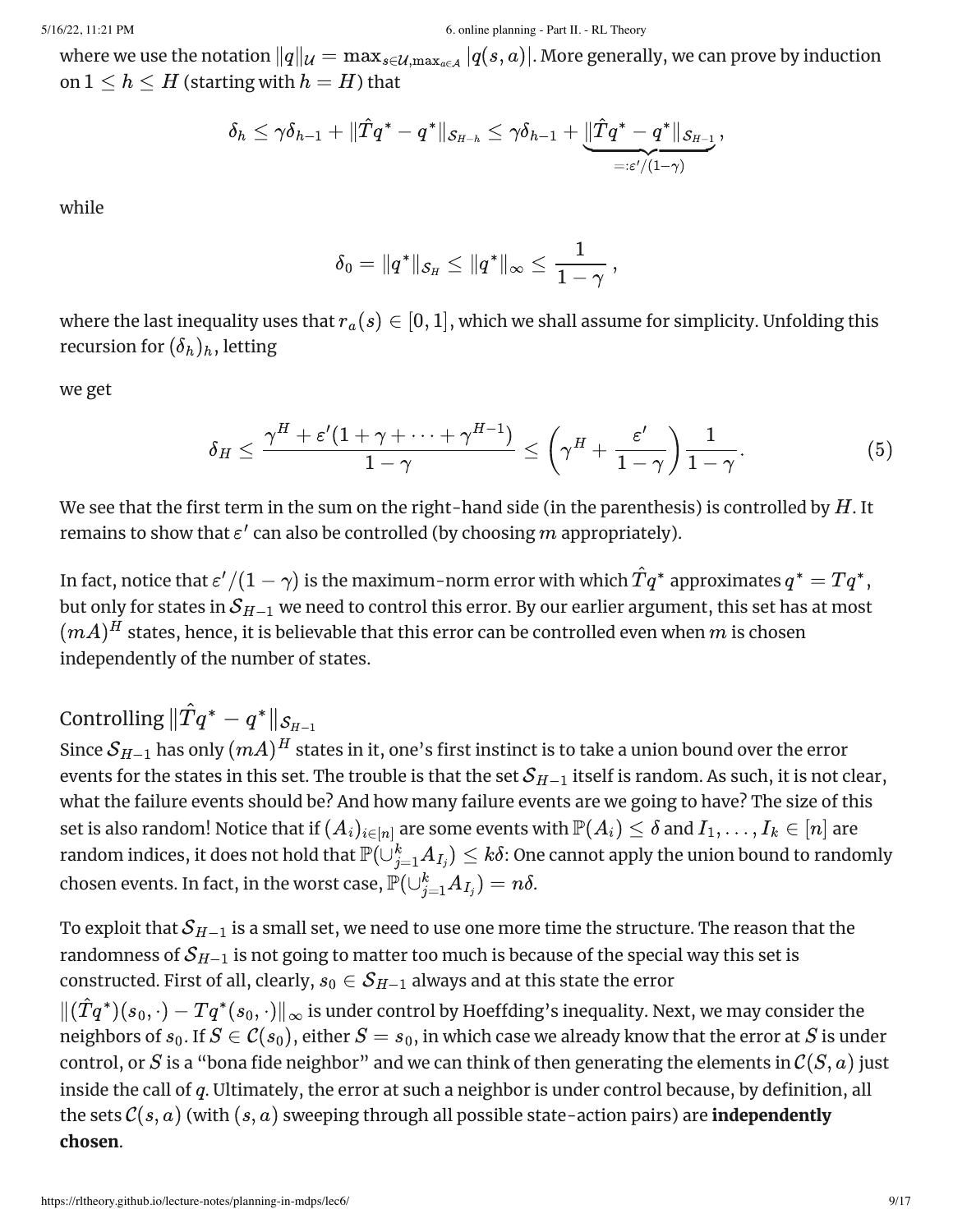where we use the notation  $\|q\|_{\mathcal U}=\max_{s\in\mathcal U,\max_{a\in\mathcal A}}|q(s,a)|.$  More generally, we can prove by induction on  $1 \leq h \leq H$  (starting with  $h = H$ ) that

$$
\delta_h \leq \gamma \delta_{h-1} + \|\hat T q^* - q^*\|_{\mathcal{S}_{H-h}} \leq \gamma \delta_{h-1} + \underbrace{\|\hat T q^* - q^*\|_{\mathcal{S}_{H-1}}}_{=: \varepsilon'/(1-\gamma)},
$$

while

$$
\delta_0=\|q^*\|_{\mathcal{S}_H}\leq \|q^*\|_\infty\leq \frac{1}{1-\gamma}\,,
$$

where the last inequality uses that  $r_a(s) \in [0,1],$  which we shall assume for simplicity. Unfolding this recursion for  $(\delta_h)_h$ , letting

we get

$$
\delta_H \leq \frac{\gamma^H + \varepsilon' (1+\gamma+\dots+\gamma^{H-1})}{1-\gamma} \leq \left(\gamma^H + \frac{\varepsilon'}{1-\gamma}\right) \frac{1}{1-\gamma}. \tag{5}
$$

We see that the first term in the sum on the right-hand side (in the parenthesis) is controlled by  $H.$  It remains to show that  $\varepsilon'$  can also be controlled (by choosing  $m$  appropriately).

In fact, notice that  $\varepsilon'/(1-\gamma)$  is the maximum-norm error with which  $\hat Tq^*$  approximates  $q^* = Tq^*$ , but only for states in  $\mathcal{S}_{H-1}$  we need to control this error. By our earlier argument, this set has at most  $(mA)^H$  states, hence, it is believable that this error can be controlled even when  $m$  is chosen independently of the number of states.

Controlling  $\|\hat{T}q^* - q^*\|_{\mathcal{S}_{H-1}}$ 

Since  $\mathcal{S}_{H-1}$  has only  $(mA)^H$  states in it, one's first instinct is to take a union bound over the error events for the states in this set. The trouble is that the set  $\mathcal{S}_{H-1}$  itself is random. As such, it is not clear, what the failure events should be? And how many failure events are we going to have? The size of this set is also random! Notice that if  $(A_i)_{i\in[n]}$  are some events with  $\mathbb{P}(A_i)\leq \delta$  and  $I_1,\ldots,I_k\in[n]$  are random indices, it does not hold that  $\mathbb{P}(\dot\cup_{j=1}^k A_{I_j})\leq k\delta$ : One cannot apply the union bound to randomly chosen events. In fact, in the worst case,  $\check{\mathbb{P}}(\cup_{j=1}^k A_{I_j}) = n\delta.$ 

To exploit that  $\mathcal{S}_{H-1}$  is a small set, we need to use one more time the structure. The reason that the randomness of  $\mathcal{S}_{H-1}$  is not going to matter too much is because of the special way this set is constructed. First of all, clearly,  $s_0\in \mathcal{S}_{H-1}$  always and at this state the error  $\|(\hat{T}q^*)(s_0,\cdot) - Tq^*(s_0,\cdot)\|_\infty$  is under control by Hoeffding's inequality. Next, we may consider the neighbors of  $s_0.$  If  $S\in{\mathcal C}(s_0),$  either  $S=s_0,$  in which case we already know that the error at  $S$  is under control, or  $S$  is a "bona fide neighbor" and we can think of then generating the elements in  $\mathcal C(S, a)$  just inside the call of  $q$ . Ultimately, the error at such a neighbor is under control because, by definition, all the sets  $\mathcal{C}(s, a)$  (with  $(s, a)$  sweeping through all possible state-action pairs) are **independently** chosen. case, or  $m_1 = m_1$ <br>
where we measure the maturites  $|a_0|_W = m_1 \pi r_{\text{min,obs}}$ ,  $\frac{1}{2}$ ,  $\frac{1}{2}$ ,  $\frac{1}{2}$ ,  $\frac{1}{2}$ ,  $\frac{1}{2}$ ,  $\frac{1}{2}$ ,  $\frac{1}{2}$ ,  $\frac{1}{2}$ ,  $\frac{1}{2}$ ,  $\frac{1}{2}$ ,  $\frac{1}{2}$ ,  $\frac{1}{2}$ ,  $\frac{1}{2}$ ,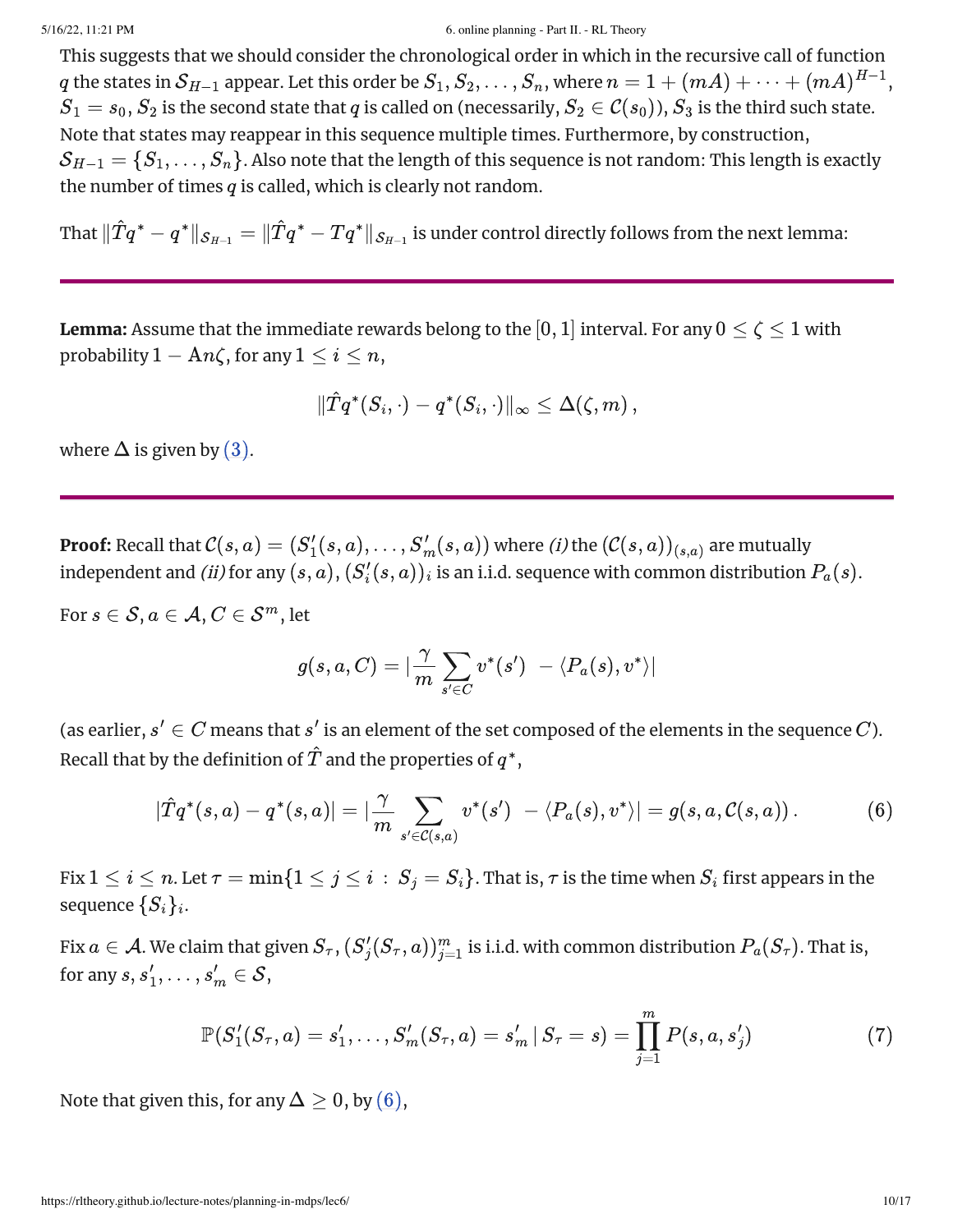This suggests that we should consider the chronological order in which in the recursive call of function  $q$  the states in  $\mathcal{S}_{H-1}$  appear. Let this order be  $S_1, S_2, \ldots, S_n,$  where  $n=1+(mA)+\cdots+(mA)^{H-1},$  $S_1=s_0, S_2$  is the second state that  $q$  is called on (necessarily,  $S_2\in {\cal C}(s_0)$ ),  $S_3$  is the third such state. Note that states may reappear in this sequence multiple times. Furthermore, by construction,  $\mathcal{S}_{H-1}=\{S_1,\ldots,S_n\}.$  Also note that the length of this sequence is not random: This length is exactly the number of times  $q$  is called, which is clearly not random.

That  $\|\hat{T}q^* - q^*\|_{\mathcal{S}_{H-1}} = \|\hat{T}q^* - Tq^*\|_{\mathcal{S}_{H-1}}$  is under control directly follows from the next lemma:

**Lemma:** Assume that the immediate rewards belong to the  $[0,1]$  interval. For any  $0 \leq \zeta \leq 1$  with probability  $1 - An\zeta$ , for any  $1 \leq i \leq n$ ,

$$
\|\hat{T}q^*(S_i,\cdot)-q^*(S_i,\cdot)\|_\infty\leq \Delta(\zeta,m)\,,
$$

where  $\Delta$  is given by  $(3)$ .

**Proof:** Recall that  $\mathcal{C}(s,a)=(S'_1(s,a),\ldots,S'_m(s,a))$  where  $(i)$  the  $(\mathcal{C}(s,a))_{(s,a)}$  are mutually independent and (ii) for any  $(s,a), (S'_i(s,a))_i$  is an i.i.d. sequence with common distribution  $P_a(s)$ .  $S'_{1}(s, a), \ldots, S'_{m}(s, a))$  where *(i)* the  $(\mathcal{C}(s, a))_{(s, a)}$  $\mathcal{H}_i(s,a))_i$  is an i.i.d. sequence with common distribution  $P_a(s).$ 

For  $s \in \mathcal{S}, a \in \mathcal{A}, C \in \mathcal{S}^m,$  let

<span id="page-9-0"></span>
$$
g(s,a,C)=|\frac{\gamma}{m}\sum_{s'\in C}v^*(s')\ -\langle P_a(s),v^*\rangle|
$$

(as earlier,  $s' \in C$  means that  $s'$  is an element of the set composed of the elements in the sequence  $C$ ). Recall that by the definition of  $\hat{T}$  and the properties of  $q^*,$ 

$$
|\hat{T}q^*(s, a) - q^*(s, a)| = |\frac{\gamma}{m} \sum_{s' \in \mathcal{C}(s, a)} v^*(s')| - \langle P_a(s), v^* \rangle| = g(s, a, \mathcal{C}(s, a)). \tag{6}
$$

Fix  $1\leq i\leq n.$  Let  $\tau=\min\{1\leq j\leq i\,:\,S_j=S_i\}.$  That is,  $\tau$  is the time when  $S_i$  first appears in the sequence  $\{S_i\}_i$ .

Fix  $a\in\mathcal A$ . We claim that given  $S_\tau$ ,  $(S'_j(S_\tau,a))_{j=1}^m$  is i.i.d. with common distribution  $P_a(S_\tau).$  That is, for any  $s, s'_1, \ldots, s'_m \in \mathcal{S},$  $j'_{j}(S_{\tau},a))_{j=1}^m$  is i.i.d. with common distribution  $P_a(S_{\tau}).$ 

$$
\mathbb{P}(S_1'(S_\tau, a) = s_1', \dots, S_m'(S_\tau, a) = s_m' | S_\tau = s) = \prod_{j=1}^m P(s, a, s_j')
$$
(7)

Note that given this, for any  $\Delta \geq 0$ , by  $(6)$ ,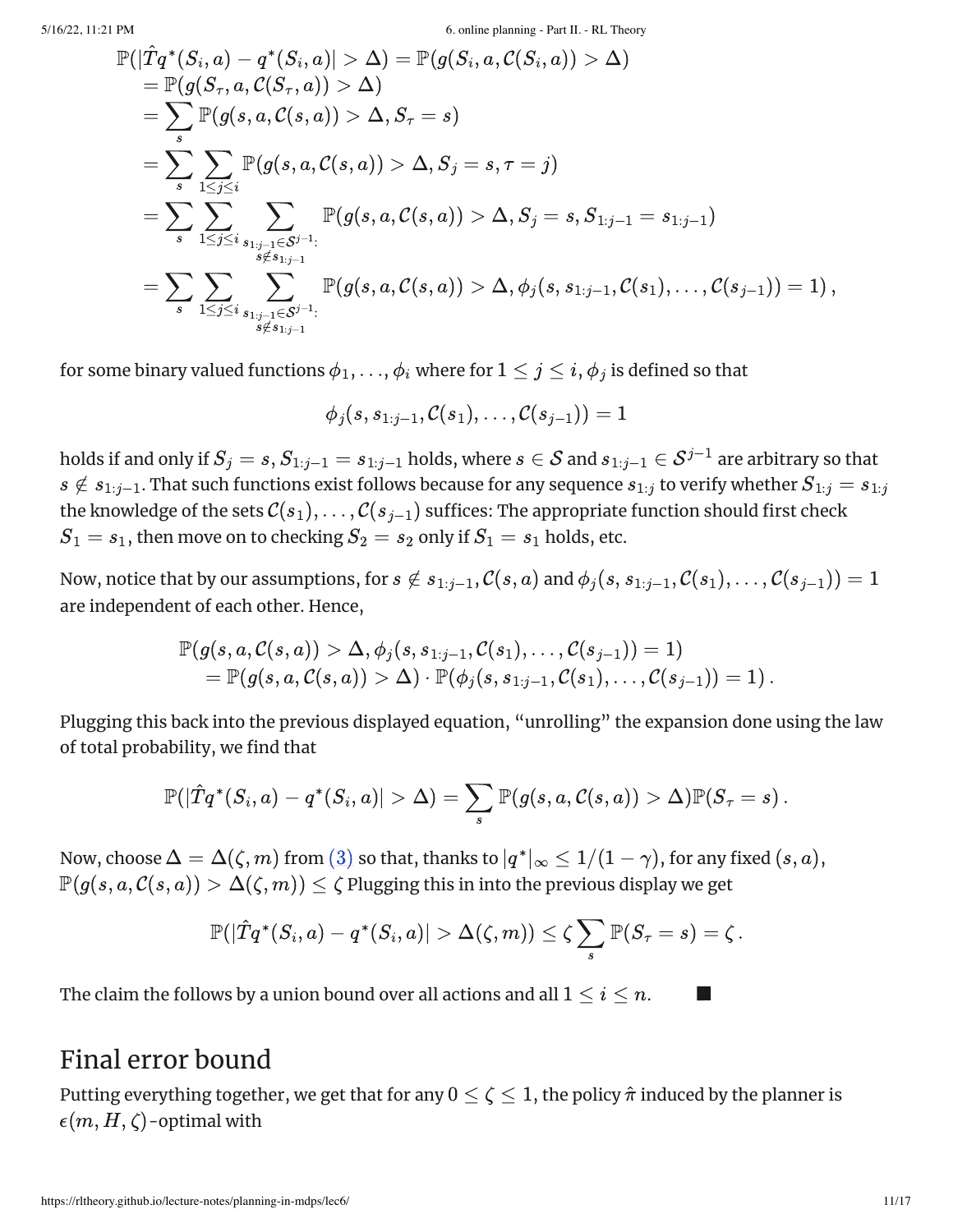$$
\begin{aligned} &\mathbb{P}(|\hat{T}q^*(S_i,a)-q^*(S_i,a)|>\Delta)=\mathbb{P}(g(S_i,a,\mathcal{C}(S_i,a))>\Delta)\\ &=\mathbb{P}(g(S_\tau,a,\mathcal{C}(S_\tau,a))>\Delta)\\ &=\sum_{s}\mathbb{P}(g(s,a,\mathcal{C}(s,a))>\Delta,S_\tau=s)\\ &=\sum_{s}\sum_{1\leq j\leq i}\mathbb{P}(g(s,a,\mathcal{C}(s,a))>\Delta,S_j=s,\tau=j)\\ &=\sum_{s}\sum_{1\leq j\leq i}\sum_{\substack{s_{1:j-1}\in\mathcal{S}^{j-1}:\\s\notin s_{1:j-1}}}\mathbb{P}(g(s,a,\mathcal{C}(s,a))>\Delta,S_j=s,S_{1:j-1}=s_{1:j-1})\\ &=\sum_{s}\sum_{1\leq j\leq i}\sum_{\substack{s_{1:j-1}\in\mathcal{S}^{j-1}:\\s\notin s_{1:j-1}}}\mathbb{P}(g(s,a,\mathcal{C}(s,a))>\Delta,\phi_j(s,s_{1:j-1},\mathcal{C}(s_1),\ldots,\mathcal{C}(s_{j-1}))=1)\,, \end{aligned}
$$

for some binary valued functions  $\phi_1, \ldots, \phi_i$  where for  $1 \leq j \leq i,$   $\phi_j$  is defined so that

$$
\phi_j(s,s_{1:j-1},\mathcal{C}(s_1),\ldots,\mathcal{C}(s_{j-1}))=1
$$

holds if and only if  $S_j=s, S_{1:j-1}=s_{1:j-1}$  holds, where  $s\in\mathcal{S}$  and  $s_{1:j-1}\in\mathcal{S}^{j-1}$  are arbitrary so that  $s \notin s_{1:j-1}.$  That such functions exist follows because for any sequence  $s_{1:j}$  to verify whether  $S_{1:j} = s_{1:j}$ the knowledge of the sets  $\mathcal{C}(s_1),\dots,\mathcal{C}(s_{j-1})$  suffices: The appropriate function should first check  $S_1 = s_1,$  then move on to checking  $S_2 = s_2$  only if  $S_1 = s_1$  holds, etc.

Now, notice that by our assumptions, for  $s\notin s_{1:j-1},$   $\mathcal{C}(s,a)$  and  $\phi_j(s,s_{1:j-1},\mathcal{C}(s_1),\ldots,\mathcal{C}(s_{j-1}))=1$ are independent of each other. Hence,

$$
\mathbb{P}(g(s,a,\mathcal{C}(s,a)) > \Delta, \phi_j(s,s_{1:j-1},\mathcal{C}(s_1),\ldots,\mathcal{C}(s_{j-1})) = 1)\\ = \mathbb{P}(g(s,a,\mathcal{C}(s,a)) > \Delta) \cdot \mathbb{P}(\phi_j(s,s_{1:j-1},\mathcal{C}(s_1),\ldots,\mathcal{C}(s_{j-1})) = 1)\,.
$$

Plugging this back into the previous displayed equation, "unrolling" the expansion done using the law of total probability, we find that

$$
\mathbb{P}(|\hat{T}q^*(S_i,a)-q^*(S_i,a)|>\Delta)=\sum_s\mathbb{P}(g(s,a,\mathcal{C}(s,a))>\Delta)\mathbb{P}(S_\tau=s)\,.
$$

Now, choose  $\Delta = \Delta(\zeta,m)$  from  $(3)$  so that, thanks to  $|q^*|_\infty \leq 1/(1-\gamma)$ , for any fixed  $(s,a),$  $\mathbb{P}(g(s,a,\mathcal{C}(s,a))>\Delta(\zeta,m))\leq \zeta$  Plugging this in into the previous display we get

$$
\mathbb{P}(|\hat{T}q^*(S_i,a)-q^*(S_i,a)|>\Delta(\zeta,m))\leq \zeta \sum_s \mathbb{P}(S_\tau=s)=\zeta\,.
$$

The claim the follows by a union bound over all actions and all  $1\leq i\leq n.$   $\qquad \blacksquare$ 

## Final error bound

Putting everything together, we get that for any  $0 \leq \zeta \leq 1,$  the policy  $\hat{\pi}$  induced by the planner is  $\epsilon(m,H,\zeta)$ -optimal with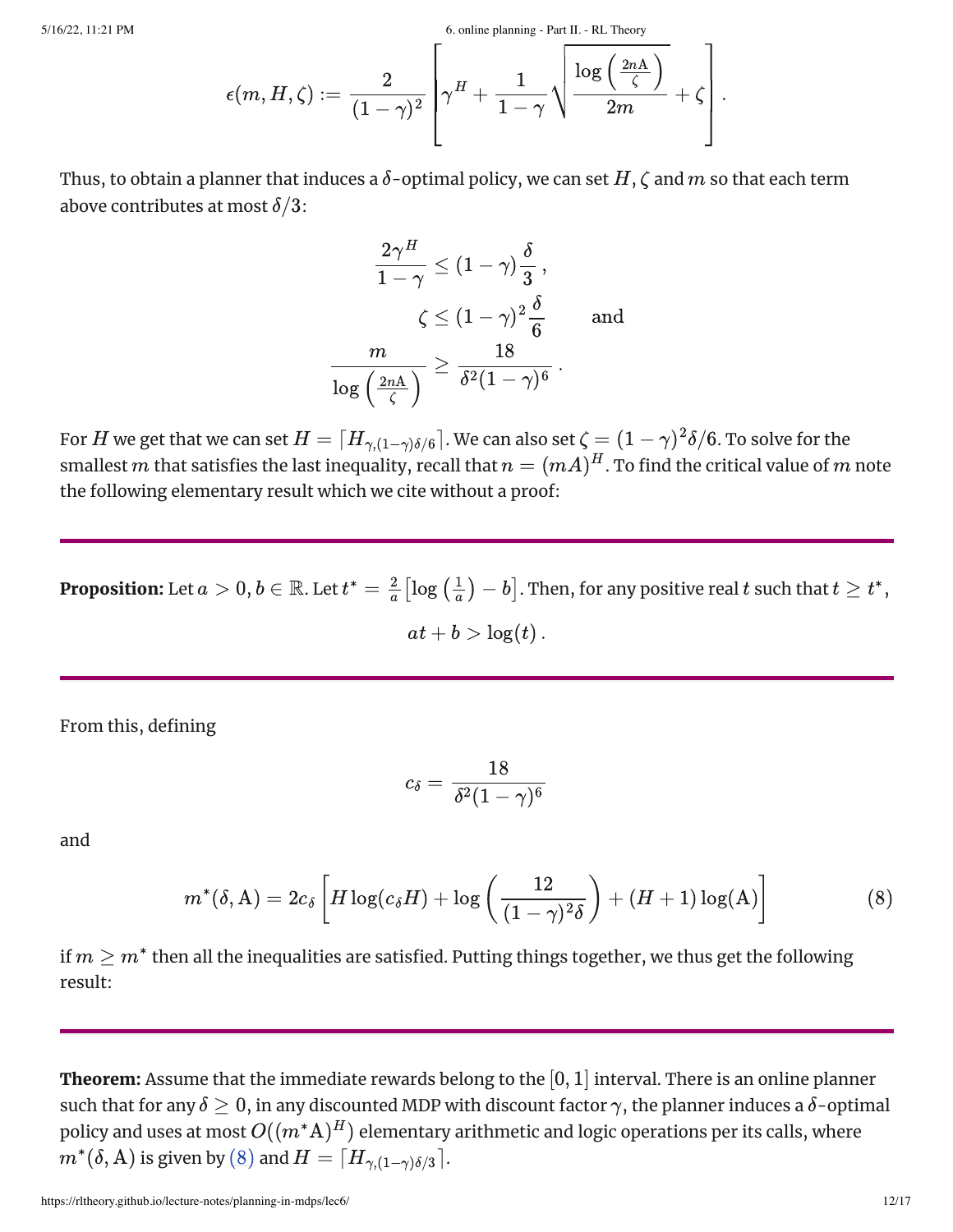$$
\epsilon(m,H,\zeta):=\frac{2}{(1-\gamma)^2}\left[\gamma^H+\frac{1}{1-\gamma}\sqrt{\frac{\log\left(\frac{2n\mathrm{A}}{\zeta}\right)}{2m}}+\zeta\right].
$$

Thus, to obtain a planner that induces a  $\delta$ -optimal policy, we can set  $H, \zeta$  and  $m$  so that each term above contributes at most  $\delta/3$ :

$$
= \frac{2\gamma^H}{(1-\gamma)^2} \left[ \gamma^{11} + \frac{1-\gamma}{1-\gamma} \sqrt{\frac{2m}{2m}} \right]
$$
  
uces a  $\delta$ -optimal policy, we can set *H*  

$$
\frac{2\gamma^H}{1-\gamma} \le (1-\gamma) \frac{\delta}{3},
$$

$$
\zeta \le (1-\gamma)^2 \frac{\delta}{6} \quad \text{and}
$$

$$
\frac{m}{\log\left(\frac{2nA}{\zeta}\right)} \ge \frac{18}{\delta^2 (1-\gamma)^6}.
$$

$$
\left[ H_{\gamma,(1-\gamma)\delta/6} \right].
$$
 We can also set  $\zeta = (1)$   
nequality, recall that  $n = (mA)^H$ . To  
hich we cite without a proof:  

$$
t t^* = \frac{2}{a} \left[ \log\left(\frac{1}{a}\right) - b \right].
$$
 Then, for any  

$$
at + b > \log(t).
$$

For  $H$  we get that we can set  $H=\lceil H_{\gamma,(1-\gamma)\delta/6}\rceil.$  We can also set  $\zeta=(1-\gamma)^2\delta/6.$  To solve for the smallest  $m$  that satisfies the last inequality, recall that  $n=(mA)^H.$  To find the critical value of  $m$  note the following elementary result which we cite without a proof:  $\frac{1}{\sqrt{6}}$  so crimes

**Proposition:** Let  $a>0,$   $b\in\mathbb{R}.$  Let  $t^*=\frac{2}{a}\big[\log\big(\frac{1}{a}\big)-b\big].$  Then, for any positive real  $t$  such that  $t\geq t^* ,$  $\left\lfloor\frac{1}{a}\right\rfloor-b\big].$  Then, for any positive real  $t$  such that  $t\geq t^*,$ 

 $at + b > log(t)$ .

From this, defining

<span id="page-11-0"></span>
$$
c_\delta = \frac{18}{\delta^2 (1-\gamma)^6}
$$

and

$$
m^*(\delta, A) = 2c_{\delta} \left[ H \log(c_{\delta} H) + \log \left( \frac{12}{(1 - \gamma)^2 \delta} \right) + (H + 1) \log(A) \right]
$$
(8)

if  $m\geq m^*$  then all the inequalities are satisfied. Putting things together, we thus get the following result:

**Theorem:** Assume that the immediate rewards belong to the  $[0, 1]$  interval. There is an online planner such that for any  $\delta \geq 0,$  in any discounted MDP with discount factor  $\gamma,$  the planner induces a  $\delta$ -optimal policy and uses at most  $O((m^*\mathrm{A})^H)$  elementary arithmetic and logic operations per its calls, where  $\hat{m}^*(\delta, \mathrm{A})$  is given by  $(\mathrm{8})$  and  $H = \lceil H_{\gamma,(1-\gamma)\delta/3} \rceil$ .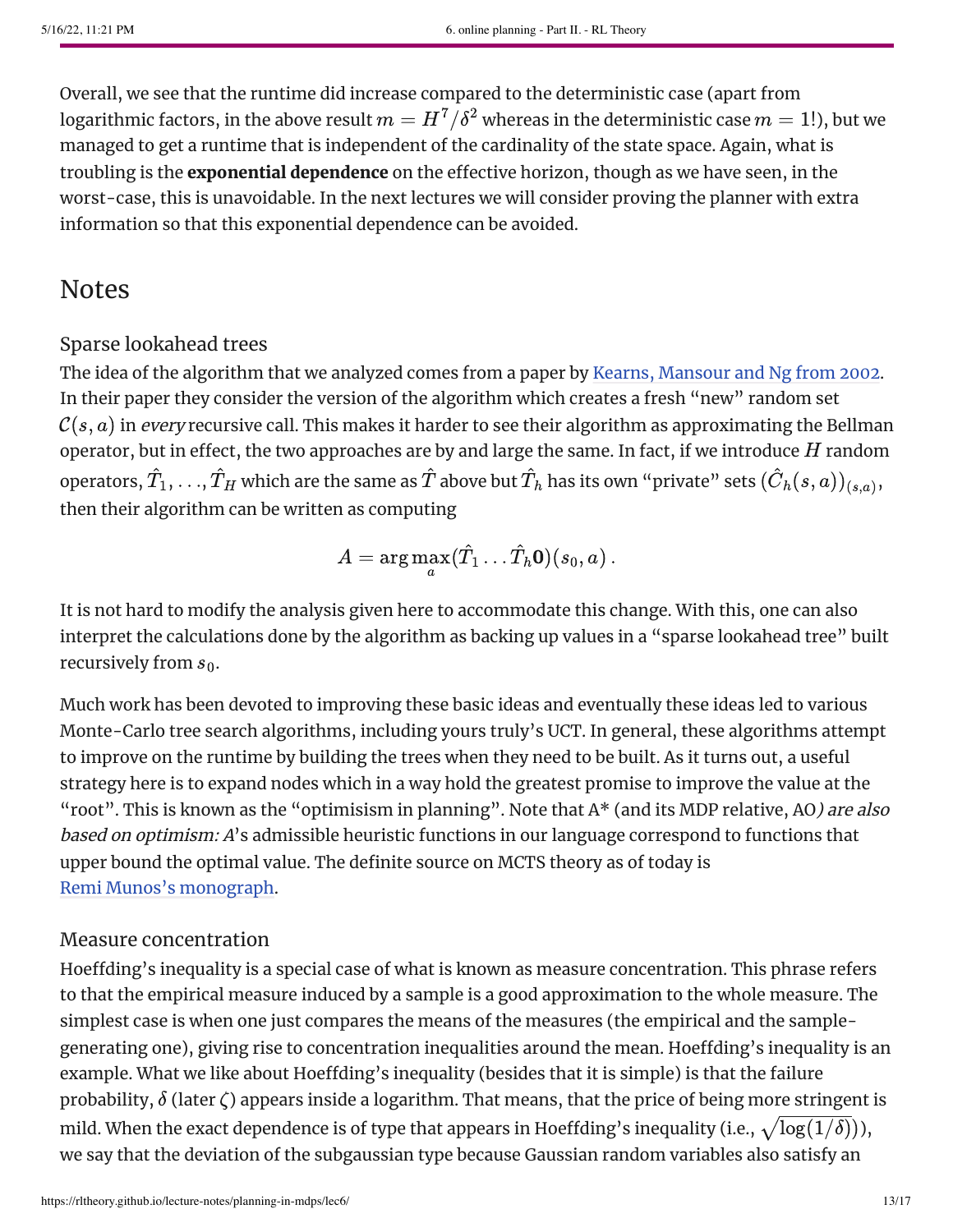Overall, we see that the runtime did increase compared to the deterministic case (apart from logarithmic factors, in the above result  $m = H^7/\delta^2$  whereas in the deterministic case  $m=1!$  ), but we managed to get a runtime that is independent of the cardinality of the state space. Again, what is troubling is the exponential dependence on the effective horizon, though as we have seen, in the worst-case, this is unavoidable. In the next lectures we will consider proving the planner with extra information so that this exponential dependence can be avoided.

### Notes

### Sparse lookahead trees

The idea of the algorithm that we analyzed comes from a paper by Kearns, [Mansour](#page-15-0) and Ng from 2002. In their paper they consider the version of the algorithm which creates a fresh "new" random set  $\mathcal{C}(s,a)$  in *every* recursive call. This makes it harder to see their algorithm as approximating the Bellman operator, but in effect, the two approaches are by and large the same. In fact, if we introduce  $H$  random operators,  $\hat{T}_1,...,\hat{T}_H$  which are the same as  $\hat{T}$  above but  $\hat{T}_h$  has its own "private" sets  $(\hat{C}_h(s,a))_{(s,a)},$ then their algorithm can be written as computing

$$
A = \arg\max_a (\hat{T}_1 \dots \hat{T}_h \mathbf{0})(s_0, a) \, .
$$

It is not hard to modify the analysis given here to accommodate this change. With this, one can also interpret the calculations done by the algorithm as backing up values in a "sparse lookahead tree" built recursively from  $s_0$ .

Much work has been devoted to improving these basic ideas and eventually these ideas led to various Monte-Carlo tree search algorithms, including yours truly's UCT. In general, these algorithms attempt to improve on the runtime by building the trees when they need to be built. As it turns out, a useful strategy here is to expand nodes which in a way hold the greatest promise to improve the value at the "root". This is known as the "optimisism in planning". Note that A\* (and its MDP relative, AO) are also based on optimism: A's admissible heuristic functions in our language correspond to functions that upper bound the optimal value. The definite source on MCTS theory as of today is Remi Munos's [monograph](https://www.nowpublishers.com/article/Details/MAL-038).

### Measure concentration

Hoeffding's inequality is a special case of what is known as measure concentration. This phrase refers to that the empirical measure induced by a sample is a good approximation to the whole measure. The simplest case is when one just compares the means of the measures (the empirical and the samplegenerating one), giving rise to concentration inequalities around the mean. Hoeffding's inequality is an example. What we like about Hoeffding's inequality (besides that it is simple) is that the failure probability,  $\delta$  (later  $\zeta$ ) appears inside a logarithm. That means, that the price of being more stringent is mild. When the exact dependence is of type that appears in Hoeffding's inequality (i.e.,  $\sqrt{\log(1/\delta)})$ ), we say that the deviation of the subgaussian type because Gaussian random variables also satisfy an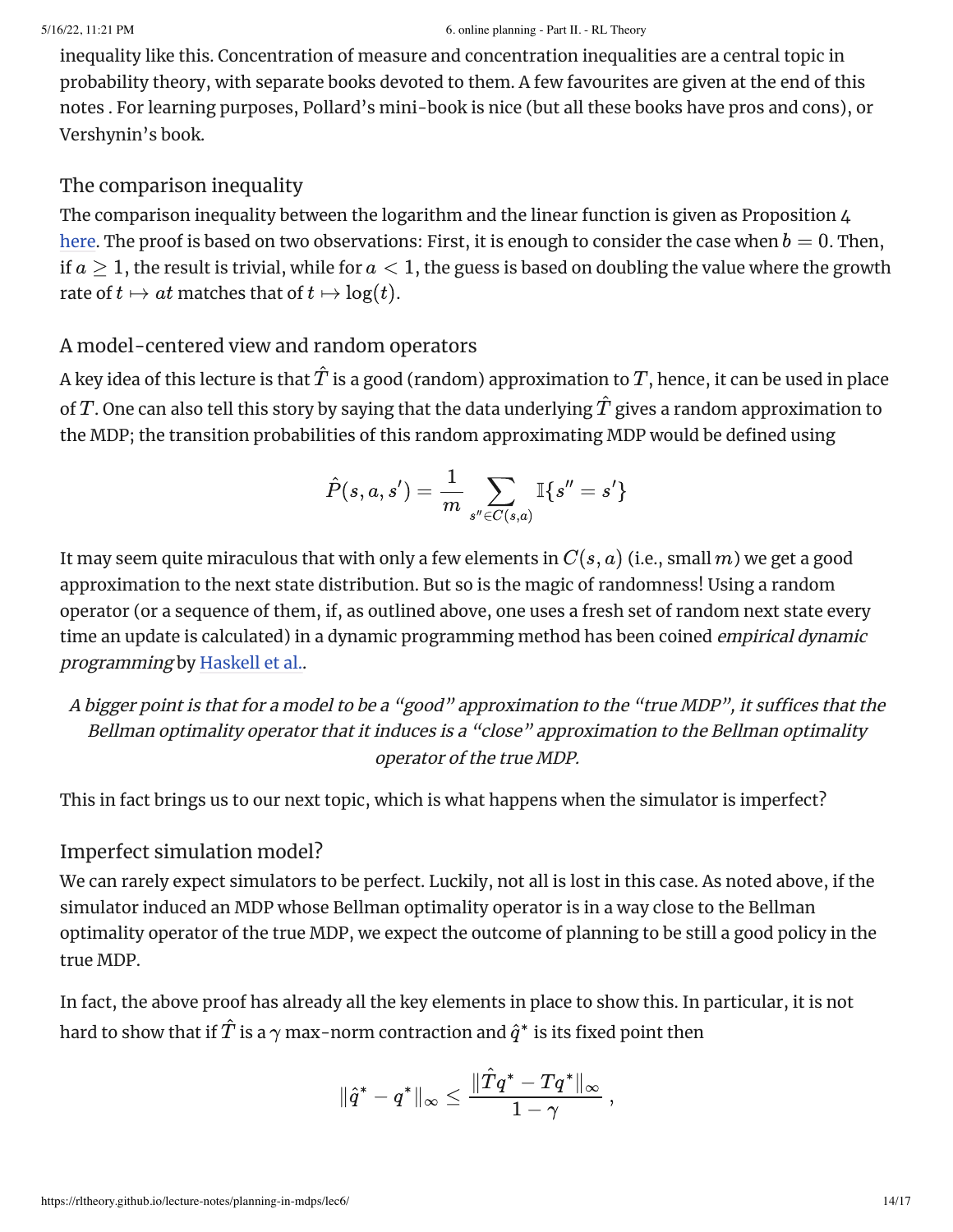inequality like this. Concentration of measure and concentration inequalities are a central topic in probability theory, with separate books devoted to them. A few favourites are given at the end of this notes . For learning purposes, Pollard's mini-book is nice (but all these books have pros and cons), or Vershynin's book.

#### The comparison inequality

The comparison inequality between the logarithm and the linear function is given as Proposition 4 [here](https://sites.ualberta.ca/~szepesva/papers/Allocation-TCS10.pdf). The proof is based on two observations: First, it is enough to consider the case when  $b=0$ . Then, if  $a\geq 1,$  the result is trivial, while for  $a < 1,$  the guess is based on doubling the value where the growth rate of  $t \mapsto at$  matches that of  $t \mapsto \log(t)$ .

#### A model-centered view and random operators

A key idea of this lecture is that  $\hat{T}$  is a good (random) approximation to  $T,$  hence, it can be used in place of  $T.$  One can also tell this story by saying that the data underlying  $\hat{T}$  gives a random approximation to the MDP; the transition probabilities of this random approximating MDP would be defined using

$$
\hat{P}(s,a,s') = \frac{1}{m} \sum_{s'' \in C(s,a)} \mathbb{I}\{s''=s'\}
$$

It may seem quite miraculous that with only a few elements in  $C(s, a)$  (i.e., small  $m$ ) we get a good approximation to the next state distribution. But so is the magic of randomness! Using a random operator (or a sequence of them, if, as outlined above, one uses a fresh set of random next state every time an update is calculated) in a dynamic programming method has been coined *empirical dynamic* programming by [Haskell](#page-16-0) et al..

<sup>A</sup> bigger point is that for <sup>a</sup> model to be <sup>a</sup> "good" approximation to the "true MDP", it suffices that the Bellman optimality operator that it induces is <sup>a</sup> "close" approximation to the Bellman optimality operator of the true MDP.

This in fact brings us to our next topic, which is what happens when the simulator is imperfect?

### Imperfect simulation model?

We can rarely expect simulators to be perfect. Luckily, not all is lost in this case. As noted above, if the simulator induced an MDP whose Bellman optimality operator is in a way close to the Bellman optimality operator of the true MDP, we expect the outcome of planning to be still a good policy in the true MDP.

In fact, the above proof has already all the key elements in place to show this. In particular, it is not hard to show that if  $\hat{T}$  is a  $\gamma$  max-norm contraction and  $\hat{q}^*$  is its fixed point then

$$
\|\hat{q}^* - q^*\|_\infty \leq \frac{\|\hat{T}q^* - Tq^*\|_\infty}{1 - \gamma}\,,
$$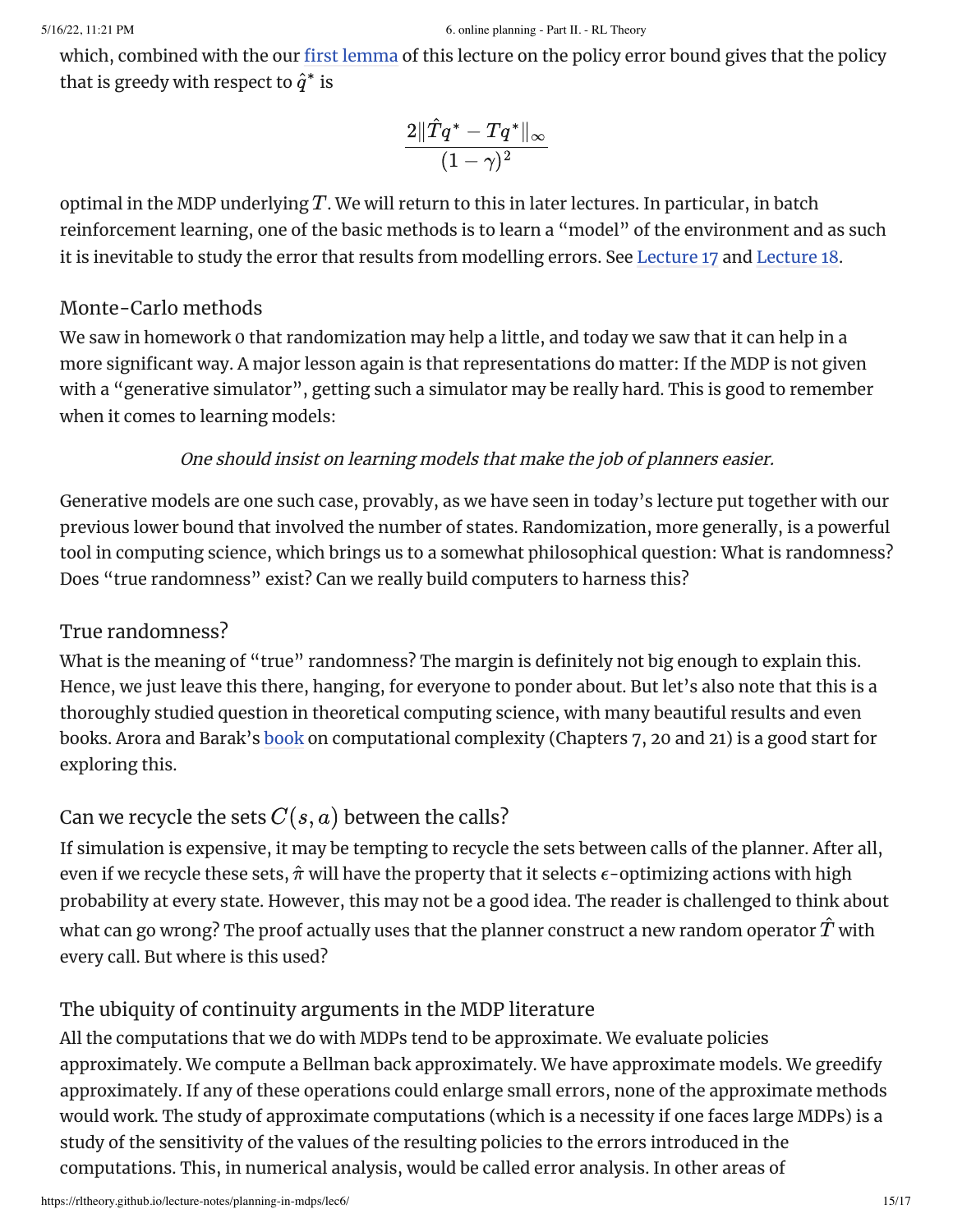which, combined with the our first [lemma](#page-2-0) of this lecture on the policy error bound gives that the policy that is greedy with respect to  $\hat{q}^*$  is

$$
\frac{2\|\hat{T}q^*-Tq^*\|_\infty}{(1-\gamma)^2}
$$

optimal in the MDP underlying  $T.$  We will return to this in later lectures. In particular, in batch reinforcement learning, one of the basic methods is to learn a "model" of the environment and as such it is inevitable to study the error that results from modelling errors. See [Lecture](https://rltheory.github.io/lecture-notes/batch-rl/lec17/) 17 and [Lecture](https://rltheory.github.io/lecture-notes/batch-rl/lec18/) 18.

#### Monte-Carlo methods

We saw in homework 0 that randomization may help a little, and today we saw that it can help in a more significant way. A major lesson again is that representations do matter: If the MDP is not given with a "generative simulator", getting such a simulator may be really hard. This is good to remember when it comes to learning models:

#### One should insist on learning models that make the job of planners easier.

Generative models are one such case, provably, as we have seen in today's lecture put together with our previous lower bound that involved the number of states. Randomization, more generally, is a powerful tool in computing science, which brings us to a somewhat philosophical question: What is randomness? Does "true randomness" exist? Can we really build computers to harness this?

### True randomness?

What is the meaning of "true" randomness? The margin is definitely not big enough to explain this. Hence, we just leave this there, hanging, for everyone to ponder about. But let's also note that this is a thoroughly studied question in theoretical computing science, with many beautiful results and even books. Arora and Barak's [book](#page-16-1) on computational complexity (Chapters 7, 20 and 21) is a good start for exploring this.

### Can we recycle the sets  $C(s, a)$  between the calls?

If simulation is expensive, it may be tempting to recycle the sets between calls of the planner. After all, even if we recycle these sets,  $\hat{\pi}$  will have the property that it selects  $\epsilon$ -optimizing actions with high probability at every state. However, this may not be a good idea. The reader is challenged to think about what can go wrong? The proof actually uses that the planner construct a new random operator  $\hat{T}$  with every call. But where is this used?

### The ubiquity of continuity arguments in the MDP literature

All the computations that we do with MDPs tend to be approximate. We evaluate policies approximately. We compute a Bellman back approximately. We have approximate models. We greedify approximately. If any of these operations could enlarge small errors, none of the approximate methods would work. The study of approximate computations (which is a necessity if one faces large MDPs) is a study of the sensitivity of the values of the resulting policies to the errors introduced in the computations. This, in numerical analysis, would be called error analysis. In other areas of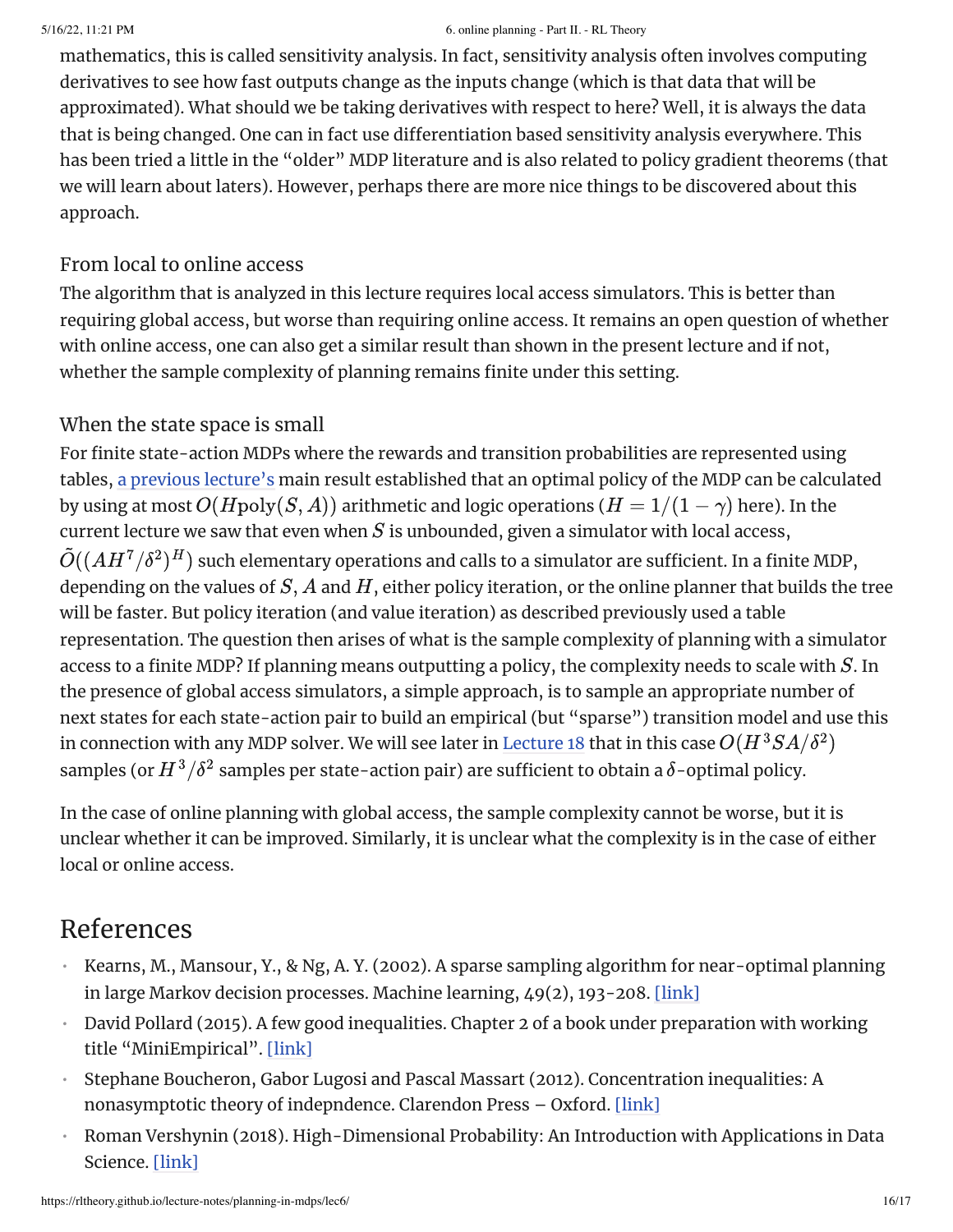mathematics, this is called sensitivity analysis. In fact, sensitivity analysis often involves computing derivatives to see how fast outputs change as the inputs change (which is that data that will be approximated). What should we be taking derivatives with respect to here? Well, it is always the data that is being changed. One can in fact use differentiation based sensitivity analysis everywhere. This has been tried a little in the "older" MDP literature and is also related to policy gradient theorems (that we will learn about laters). However, perhaps there are more nice things to be discovered about this approach.

### From local to online access

The algorithm that is analyzed in this lecture requires local access simulators. This is better than requiring global access, but worse than requiring online access. It remains an open question of whether with online access, one can also get a similar result than shown in the present lecture and if not, whether the sample complexity of planning remains finite under this setting.

### When the state space is small

For finite state-action MDPs where the rewards and transition probabilities are represented using tables, a previous [lecture's](https://rltheory.github.io/lecture-notes/planning-in-mdps/lec4/) main result established that an optimal policy of the MDP can be calculated by using at most  $O(H \text{poly}(S,A))$  arithmetic and logic operations (  $H=1/(1-\gamma)$  here). In the current lecture we saw that even when  $S$  is unbounded, given a simulator with local access,  $\tilde{O}((AH^7/\delta^2)^H)$  such elementary operations and calls to a simulator are sufficient. In a finite MDP, depending on the values of  $S, A$  and  $H,$  either policy iteration, or the online planner that builds the tree will be faster. But policy iteration (and value iteration) as described previously used a table representation. The question then arises of what is the sample complexity of planning with a simulator access to a finite MDP? If planning means outputting a policy, the complexity needs to scale with  $S_{\cdot}$  In the presence of global access simulators, a simple approach, is to sample an appropriate number of next states for each state-action pair to build an empirical (but "sparse") transition model and use this in connection with any MDP solver. We will see later in [Lecture](https://rltheory.github.io/lecture-notes/batch-rl/lec18/) 18 that in this case  $O(H^3SA/\delta^2)$ samples (or  $H^3/\delta^2$  samples per state-action pair) are sufficient to obtain a  $\delta$ -optimal policy.

In the case of online planning with global access, the sample complexity cannot be worse, but it is unclear whether it can be improved. Similarly, it is unclear what the complexity is in the case of either local or online access.

# References

- <span id="page-15-0"></span>Kearns, M., Mansour, Y., & Ng, A. Y. (2002). A sparse sampling algorithm for near-optimal planning in large Markov decision processes. Machine learning, 49(2), 193-208. [\[link\]](https://www.cis.upenn.edu/~mkearns/papers/sparsesampling-journal.pdf) •
- David Pollard (2015). A few good inequalities. Chapter 2 of a book under preparation with working title "MiniEmpirical". [\[link\]](http://www.stat.yale.edu/~pollard/Books/Mini/Basic.pdf)
- Stephane Boucheron, Gabor Lugosi and Pascal Massart (2012). Concentration inequalities: A nonasymptotic theory of indepndence. Clarendon Press – Oxford. [\[link\]](https://www.hse.ru/data/2016/11/24/1113029206/Concentration%20inequalities.pdf) •
- Roman Vershynin (2018). High-Dimensional Probability: An Introduction with Applications in Data Science. [\[link\]](https://www.math.uci.edu/~rvershyn/papers/HDP-book/HDP-book.html) •